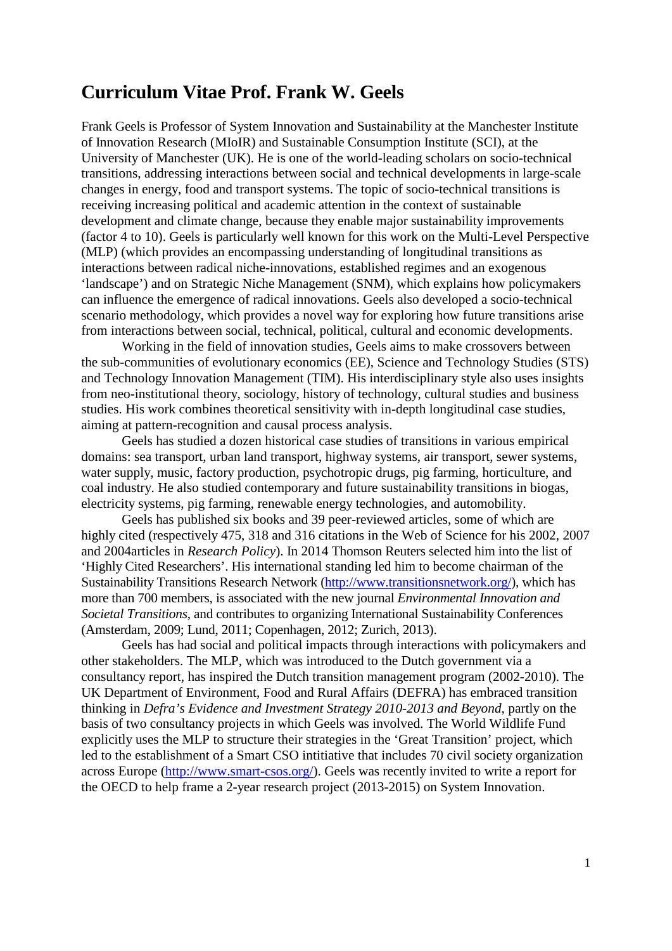# **Curriculum Vitae Prof. Frank W. Geels**

Frank Geels is Professor of System Innovation and Sustainability at the Manchester Institute of Innovation Research (MIoIR) and Sustainable Consumption Institute (SCI), at the University of Manchester (UK). He is one of the world-leading scholars on socio-technical transitions, addressing interactions between social and technical developments in large-scale changes in energy, food and transport systems. The topic of socio-technical transitions is receiving increasing political and academic attention in the context of sustainable development and climate change, because they enable major sustainability improvements (factor 4 to 10). Geels is particularly well known for this work on the Multi-Level Perspective (MLP) (which provides an encompassing understanding of longitudinal transitions as interactions between radical niche-innovations, established regimes and an exogenous 'landscape') and on Strategic Niche Management (SNM), which explains how policymakers can influence the emergence of radical innovations. Geels also developed a socio-technical scenario methodology, which provides a novel way for exploring how future transitions arise from interactions between social, technical, political, cultural and economic developments.

Working in the field of innovation studies, Geels aims to make crossovers between the sub-communities of evolutionary economics (EE), Science and Technology Studies (STS) and Technology Innovation Management (TIM). His interdisciplinary style also uses insights from neo-institutional theory, sociology, history of technology, cultural studies and business studies. His work combines theoretical sensitivity with in-depth longitudinal case studies, aiming at pattern-recognition and causal process analysis.

Geels has studied a dozen historical case studies of transitions in various empirical domains: sea transport, urban land transport, highway systems, air transport, sewer systems, water supply, music, factory production, psychotropic drugs, pig farming, horticulture, and coal industry. He also studied contemporary and future sustainability transitions in biogas, electricity systems, pig farming, renewable energy technologies, and automobility.

Geels has published six books and 39 peer-reviewed articles, some of which are highly cited (respectively 475, 318 and 316 citations in the Web of Science for his 2002, 2007 and 2004articles in *Research Policy*). In 2014 Thomson Reuters selected him into the list of 'Highly Cited Researchers'. His international standing led him to become chairman of the Sustainability Transitions Research Network [\(http://www.transitionsnetwork.org/\)](http://www.transitionsnetwork.org/), which has more than 700 members, is associated with the new journal *Environmental Innovation and Societal Transitions*, and contributes to organizing International Sustainability Conferences (Amsterdam, 2009; Lund, 2011; Copenhagen, 2012; Zurich, 2013).

Geels has had social and political impacts through interactions with policymakers and other stakeholders. The MLP, which was introduced to the Dutch government via a consultancy report, has inspired the Dutch transition management program (2002-2010). The UK Department of Environment, Food and Rural Affairs (DEFRA) has embraced transition thinking in *Defra's Evidence and Investment Strategy 2010-2013 and Beyond*, partly on the basis of two consultancy projects in which Geels was involved. The World Wildlife Fund explicitly uses the MLP to structure their strategies in the 'Great Transition' project, which led to the establishment of a Smart CSO intitiative that includes 70 civil society organization across Europe [\(http://www.smart-csos.org/\)](http://www.smart-csos.org/). Geels was recently invited to write a report for the OECD to help frame a 2-year research project (2013-2015) on System Innovation.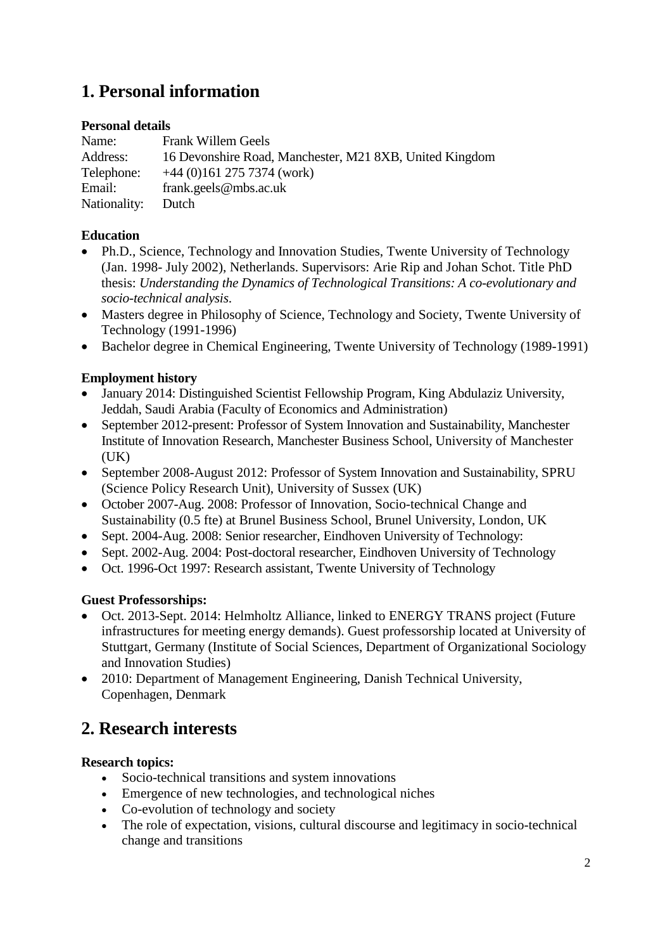# **1. Personal information**

#### **Personal details**

| Name:        | <b>Frank Willem Geels</b>                               |
|--------------|---------------------------------------------------------|
| Address:     | 16 Devonshire Road, Manchester, M21 8XB, United Kingdom |
| Telephone:   | $+44$ (0)161 275 7374 (work)                            |
| Email:       | frank.geels@mbs.ac.uk                                   |
| Nationality: | Dutch                                                   |

### **Education**

- Ph.D., Science, Technology and Innovation Studies, Twente University of Technology (Jan. 1998- July 2002), Netherlands. Supervisors: Arie Rip and Johan Schot. Title PhD thesis: *Understanding the Dynamics of Technological Transitions: A co-evolutionary and socio-technical analysis*.
- Masters degree in Philosophy of Science, Technology and Society, Twente University of Technology (1991-1996)
- Bachelor degree in Chemical Engineering, Twente University of Technology (1989-1991)

### **Employment history**

- January 2014: Distinguished Scientist Fellowship Program, King Abdulaziz University, Jeddah, Saudi Arabia (Faculty of Economics and Administration)
- September 2012-present: Professor of System Innovation and Sustainability, Manchester Institute of Innovation Research, Manchester Business School, University of Manchester  $(UK)$
- September 2008-August 2012: Professor of System Innovation and Sustainability, SPRU (Science Policy Research Unit), University of Sussex (UK)
- October 2007-Aug. 2008: Professor of Innovation, Socio-technical Change and Sustainability (0.5 fte) at Brunel Business School, Brunel University, London, UK
- Sept. 2004-Aug. 2008: Senior researcher, Eindhoven University of Technology:
- Sept. 2002-Aug. 2004: Post-doctoral researcher, Eindhoven University of Technology
- Oct. 1996-Oct 1997: Research assistant, Twente University of Technology

# **Guest Professorships:**

- Oct. 2013-Sept. 2014: Helmholtz Alliance, linked to ENERGY TRANS project (Future infrastructures for meeting energy demands). Guest professorship located at University of Stuttgart, Germany (Institute of Social Sciences, Department of Organizational Sociology and Innovation Studies)
- 2010: Department of Management Engineering, Danish Technical University, Copenhagen, Denmark

# **2. Research interests**

# **Research topics:**

- Socio-technical transitions and system innovations
- Emergence of new technologies, and technological niches
- Co-evolution of technology and society
- The role of expectation, visions, cultural discourse and legitimacy in socio-technical change and transitions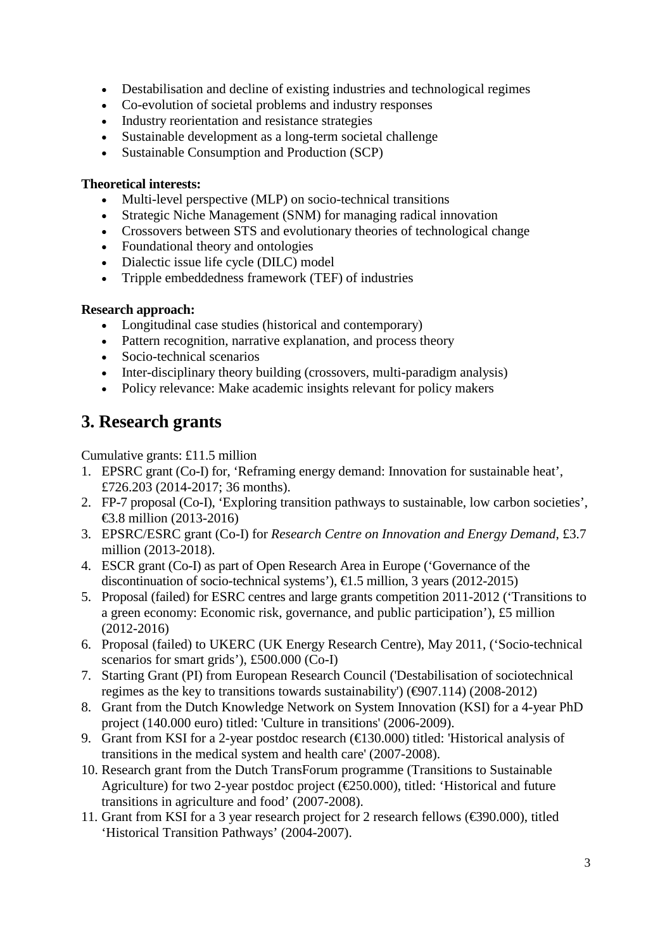- Destabilisation and decline of existing industries and technological regimes
- Co-evolution of societal problems and industry responses
- Industry reorientation and resistance strategies
- Sustainable development as a long-term societal challenge
- Sustainable Consumption and Production (SCP)

#### **Theoretical interests:**

- Multi-level perspective (MLP) on socio-technical transitions
- Strategic Niche Management (SNM) for managing radical innovation
- Crossovers between STS and evolutionary theories of technological change
- Foundational theory and ontologies
- Dialectic issue life cycle (DILC) model
- Tripple embeddedness framework (TEF) of industries

### **Research approach:**

- Longitudinal case studies (historical and contemporary)
- Pattern recognition, narrative explanation, and process theory
- Socio-technical scenarios
- Inter-disciplinary theory building (crossovers, multi-paradigm analysis)
- Policy relevance: Make academic insights relevant for policy makers

# **3. Research grants**

Cumulative grants: £11.5 million

- 1. EPSRC grant (Co-I) for, 'Reframing energy demand: Innovation for sustainable heat', £726.203 (2014-2017; 36 months).
- 2. FP-7 proposal (Co-I), 'Exploring transition pathways to sustainable, low carbon societies', €3.8 million (2013-2016)
- 3. EPSRC/ESRC grant (Co-I) for *Research Centre on Innovation and Energy Demand*, £3.7 million (2013-2018).
- 4. ESCR grant (Co-I) as part of Open Research Area in Europe ('Governance of the discontinuation of socio-technical systems'),  $\epsilon$ 1.5 million, 3 years (2012-2015)
- 5. Proposal (failed) for ESRC centres and large grants competition 2011-2012 ('Transitions to a green economy: Economic risk, governance, and public participation'), £5 million (2012-2016)
- 6. Proposal (failed) to UKERC (UK Energy Research Centre), May 2011, ('Socio-technical scenarios for smart grids'), £500.000 (Co-I)
- 7. Starting Grant (PI) from European Research Council ('Destabilisation of sociotechnical regimes as the key to transitions towards sustainability')  $(\text{\textcircled{407.114}})$  (2008-2012)
- 8. Grant from the Dutch Knowledge Network on System Innovation (KSI) for a 4-year PhD project (140.000 euro) titled: 'Culture in transitions' (2006-2009).
- 9. Grant from KSI for a 2-year postdoc research ( $\bigoplus$  30.000) titled: 'Historical analysis of transitions in the medical system and health care' (2007-2008).
- 10. Research grant from the Dutch TransForum programme (Transitions to Sustainable Agriculture) for two 2-year postdoc project ( $\epsilon$ 250.000), titled: 'Historical and future transitions in agriculture and food' (2007-2008).
- 11. Grant from KSI for a 3 year research project for 2 research fellows (€390.000), titled 'Historical Transition Pathways' (2004-2007).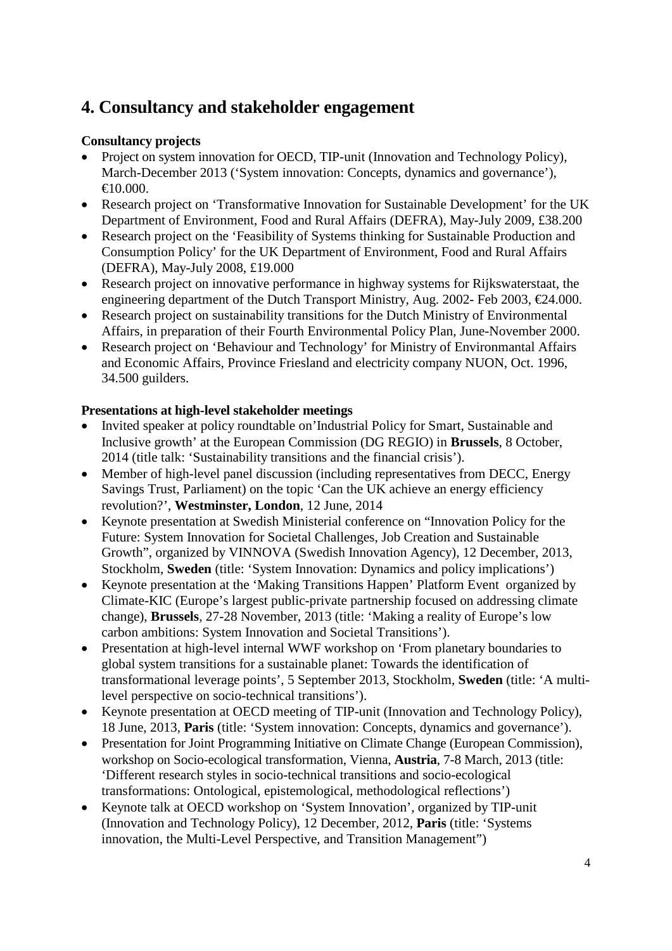# **4. Consultancy and stakeholder engagement**

### **Consultancy projects**

- Project on system innovation for OECD, TIP-unit (Innovation and Technology Policy), March-December 2013 ('System innovation: Concepts, dynamics and governance'),  $\bigoplus$  0.000.
- Research project on 'Transformative Innovation for Sustainable Development' for the UK Department of Environment, Food and Rural Affairs (DEFRA), May-July 2009, £38.200
- Research project on the 'Feasibility of Systems thinking for Sustainable Production and Consumption Policy' for the UK Department of Environment, Food and Rural Affairs (DEFRA), May-July 2008, £19.000
- Research project on innovative performance in highway systems for Rijkswaterstaat, the engineering department of the Dutch Transport Ministry, Aug. 2002- Feb 2003, €24.000.
- Research project on sustainability transitions for the Dutch Ministry of Environmental Affairs, in preparation of their Fourth Environmental Policy Plan, June-November 2000.
- Research project on 'Behaviour and Technology' for Ministry of Environmantal Affairs and Economic Affairs, Province Friesland and electricity company NUON, Oct. 1996, 34.500 guilders.

### **Presentations at high-level stakeholder meetings**

- Invited speaker at policy roundtable on'Industrial Policy for Smart, Sustainable and Inclusive growth' at the European Commission (DG REGIO) in **Brussels**, 8 October, 2014 (title talk: 'Sustainability transitions and the financial crisis').
- Member of high-level panel discussion (including representatives from DECC, Energy Savings Trust, Parliament) on the topic 'Can the UK achieve an energy efficiency revolution?', **Westminster, London**, 12 June, 2014
- Keynote presentation at Swedish Ministerial conference on "Innovation Policy for the Future: System Innovation for Societal Challenges, Job Creation and Sustainable Growth", organized by VINNOVA (Swedish Innovation Agency), 12 December, 2013, Stockholm, **Sweden** (title: 'System Innovation: Dynamics and policy implications')
- Keynote presentation at the 'Making Transitions Happen' Platform Event organized by Climate-KIC (Europe's largest public-private partnership focused on addressing climate change), **Brussels**, 27-28 November, 2013 (title: 'Making a reality of Europe's low carbon ambitions: System Innovation and Societal Transitions').
- Presentation at high-level internal WWF workshop on 'From planetary boundaries to global system transitions for a sustainable planet: Towards the identification of transformational leverage points', 5 September 2013, Stockholm, **Sweden** (title: 'A multilevel perspective on socio-technical transitions').
- Keynote presentation at OECD meeting of TIP-unit (Innovation and Technology Policy), 18 June, 2013, **Paris** (title: 'System innovation: Concepts, dynamics and governance').
- Presentation for Joint Programming Initiative on Climate Change (European Commission), workshop on Socio-ecological transformation, Vienna, **Austria**, 7-8 March, 2013 (title: 'Different research styles in socio-technical transitions and socio-ecological transformations: Ontological, epistemological, methodological reflections')
- Keynote talk at OECD workshop on 'System Innovation', organized by TIP-unit (Innovation and Technology Policy), 12 December, 2012, **Paris** (title: 'Systems innovation, the Multi-Level Perspective, and Transition Management")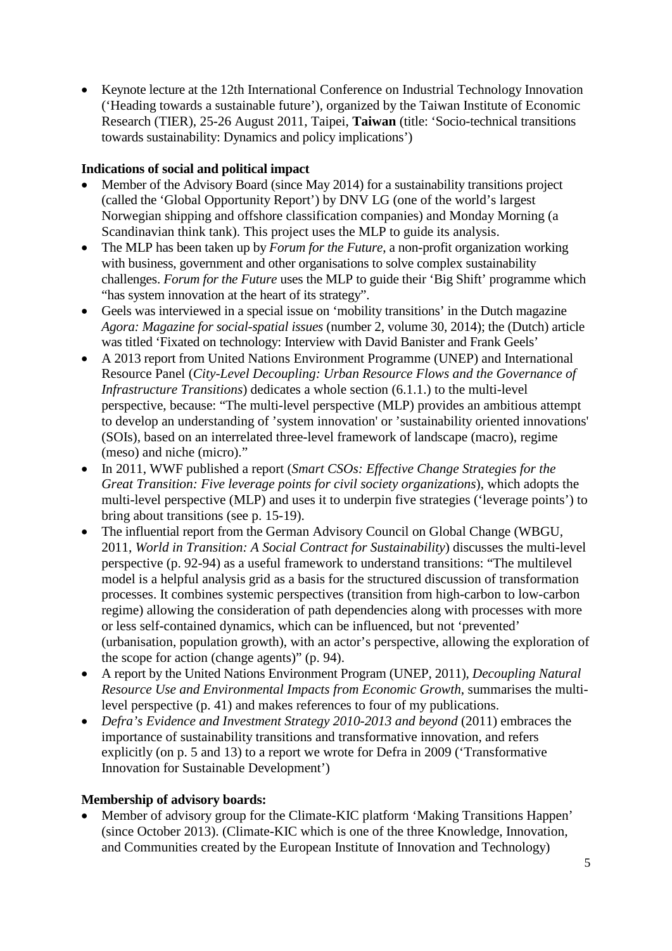• Keynote lecture at the 12th International Conference on Industrial Technology Innovation ('Heading towards a sustainable future'), organized by the Taiwan Institute of Economic Research (TIER), 25-26 August 2011, Taipei, **Taiwan** (title: 'Socio-technical transitions towards sustainability: Dynamics and policy implications')

### **Indications of social and political impact**

- Member of the Advisory Board (since May 2014) for a sustainability transitions project (called the 'Global Opportunity Report') by DNV LG (one of the world's largest Norwegian shipping and offshore classification companies) and Monday Morning (a Scandinavian think tank). This project uses the MLP to guide its analysis.
- The MLP has been taken up by *Forum for the Future*, a non-profit organization working with business, government and other organisations to solve complex sustainability challenges. *Forum for the Future* uses the MLP to guide their 'Big Shift' programme which "has system innovation at the heart of its strategy".
- Geels was interviewed in a special issue on 'mobility transitions' in the Dutch magazine *Agora: Magazine for social-spatial issues* (number 2, volume 30, 2014); the (Dutch) article was titled 'Fixated on technology: Interview with David Banister and Frank Geels'
- A 2013 report from United Nations Environment Programme (UNEP) and International Resource Panel (*City-Level Decoupling: Urban Resource Flows and the Governance of Infrastructure Transitions*) dedicates a whole section (6.1.1.) to the multi-level perspective, because: "The multi-level perspective (MLP) provides an ambitious attempt to develop an understanding of 'system innovation' or 'sustainability oriented innovations' (SOIs), based on an interrelated three-level framework of landscape (macro), regime (meso) and niche (micro)."
- In 2011, WWF published a report (*Smart CSOs: Effective Change Strategies for the Great Transition: Five leverage points for civil society organizations*), which adopts the multi-level perspective (MLP) and uses it to underpin five strategies ('leverage points') to bring about transitions (see p. 15-19).
- The influential report from the German Advisory Council on Global Change (WBGU, 2011, *World in Transition: A Social Contract for Sustainability*) discusses the multi-level perspective (p. 92-94) as a useful framework to understand transitions: "The multilevel model is a helpful analysis grid as a basis for the structured discussion of transformation processes. It combines systemic perspectives (transition from high-carbon to low-carbon regime) allowing the consideration of path dependencies along with processes with more or less self-contained dynamics, which can be influenced, but not 'prevented' (urbanisation, population growth), with an actor's perspective, allowing the exploration of the scope for action (change agents)" (p. 94).
- A report by the United Nations Environment Program (UNEP, 2011), *Decoupling Natural Resource Use and Environmental Impacts from Economic Growth*, summarises the multilevel perspective (p. 41) and makes references to four of my publications.
- *Defra's Evidence and Investment Strategy 2010-2013 and beyond* (2011) embraces the importance of sustainability transitions and transformative innovation, and refers explicitly (on p. 5 and 13) to a report we wrote for Defra in 2009 ('Transformative Innovation for Sustainable Development')

# **Membership of advisory boards:**

• Member of advisory group for the Climate-KIC platform 'Making Transitions Happen' (since October 2013). (Climate-KIC which is one of the three Knowledge, Innovation, and Communities created by the European Institute of Innovation and Technology)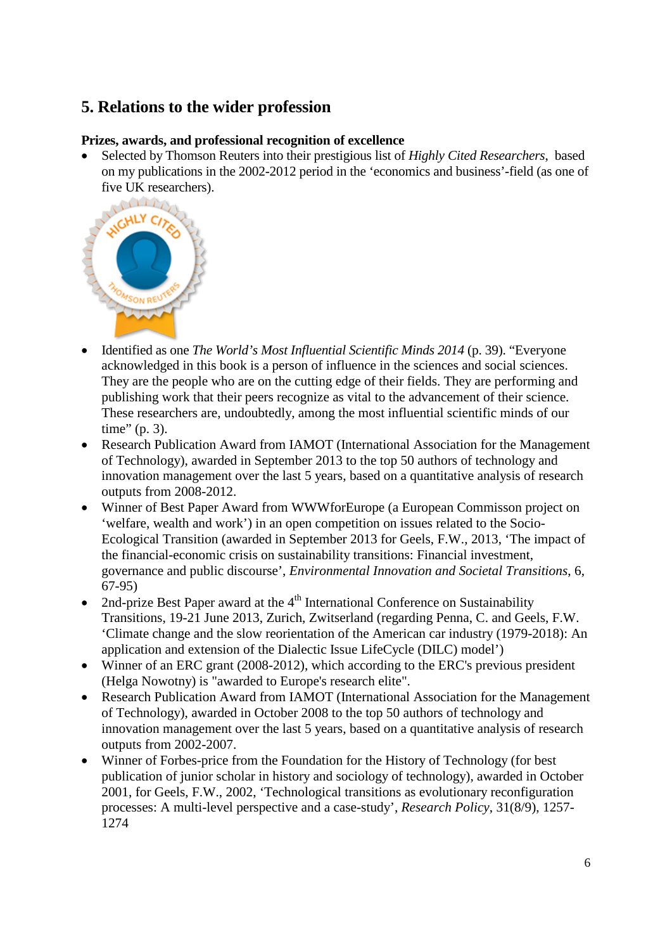# **5. Relations to the wider profession**

#### **Prizes, awards, and professional recognition of excellence**

• Selected by Thomson Reuters into their prestigious list of *Highly Cited Researchers*, based on my publications in the 2002-2012 period in the 'economics and business'-field (as one of five UK researchers).



- Identified as one *The World's Most Influential Scientific Minds 2014* (p. 39). "Everyone acknowledged in this book is a person of influence in the sciences and social sciences. They are the people who are on the cutting edge of their fields. They are performing and publishing work that their peers recognize as vital to the advancement of their science. These researchers are, undoubtedly, among the most influential scientific minds of our time" (p. 3).
- Research Publication Award from IAMOT (International Association for the Management of Technology), awarded in September 2013 to the top 50 authors of technology and innovation management over the last 5 years, based on a quantitative analysis of research outputs from 2008-2012.
- Winner of Best Paper Award from WWWforEurope (a European Commisson project on 'welfare, wealth and work') in an open competition on issues related to the Socio-Ecological Transition (awarded in September 2013 for Geels, F.W., 2013, 'The impact of the financial-economic crisis on sustainability transitions: Financial investment, governance and public discourse', *Environmental Innovation and Societal Transitions*, 6, 67-95)
- 2nd-prize Best Paper award at the  $4<sup>th</sup>$  International Conference on Sustainability Transitions, 19-21 June 2013, Zurich, Zwitserland (regarding Penna, C. and Geels, F.W. 'Climate change and the slow reorientation of the American car industry (1979-2018): An application and extension of the Dialectic Issue LifeCycle (DILC) model')
- Winner of an ERC grant (2008-2012), which according to the ERC's previous president (Helga Nowotny) is "awarded to Europe's research elite".
- Research Publication Award from IAMOT (International Association for the Management of Technology), awarded in October 2008 to the top 50 authors of technology and innovation management over the last 5 years, based on a quantitative analysis of research outputs from 2002-2007.
- Winner of Forbes-price from the Foundation for the History of Technology (for best publication of junior scholar in history and sociology of technology), awarded in October 2001, for Geels, F.W., 2002, 'Technological transitions as evolutionary reconfiguration processes: A multi-level perspective and a case-study', *Research Policy*, 31(8/9), 1257- 1274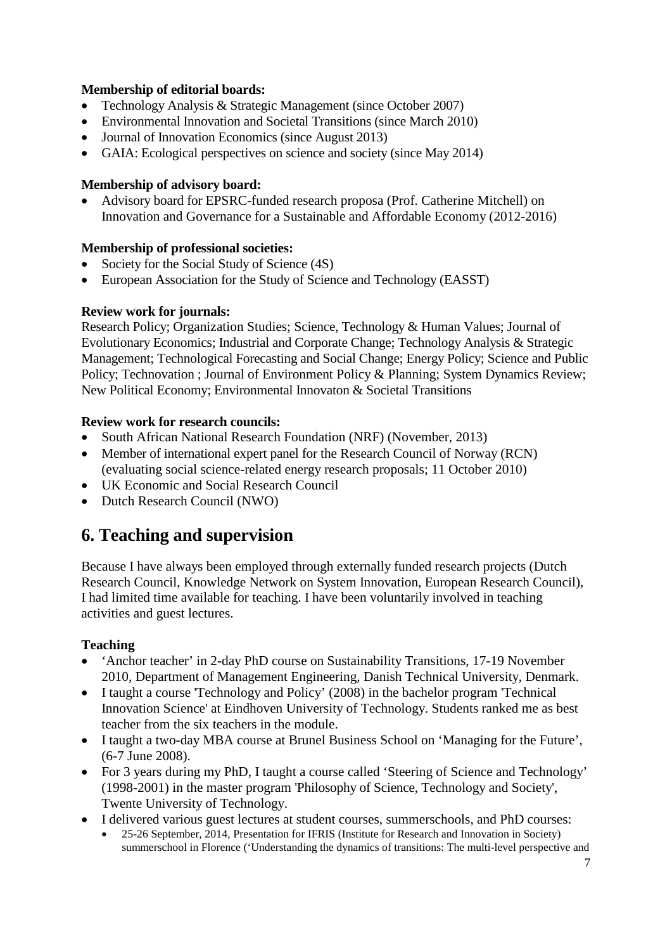#### **Membership of editorial boards:**

- Technology Analysis & Strategic Management (since October 2007)
- Environmental Innovation and Societal Transitions (since March 2010)
- Journal of Innovation Economics (since August 2013)
- GAIA: Ecological perspectives on science and society (since May 2014)

#### **Membership of advisory board:**

• Advisory board for EPSRC-funded research proposa (Prof. Catherine Mitchell) on Innovation and Governance for a Sustainable and Affordable Economy (2012-2016)

#### **Membership of professional societies:**

- Society for the Social Study of Science (4S)
- European Association for the Study of Science and Technology (EASST)

#### **Review work for journals:**

Research Policy; Organization Studies; Science, Technology & Human Values; Journal of Evolutionary Economics; Industrial and Corporate Change; Technology Analysis & Strategic Management; Technological Forecasting and Social Change; Energy Policy; Science and Public Policy; Technovation ; Journal of Environment Policy & Planning; System Dynamics Review; New Political Economy; Environmental Innovaton & Societal Transitions

#### **Review work for research councils:**

- South African National Research Foundation (NRF) (November, 2013)
- Member of international expert panel for the Research Council of Norway (RCN) (evaluating social science-related energy research proposals; 11 October 2010)
- UK Economic and Social Research Council
- Dutch Research Council (NWO)

# **6. Teaching and supervision**

Because I have always been employed through externally funded research projects (Dutch Research Council, Knowledge Network on System Innovation, European Research Council), I had limited time available for teaching. I have been voluntarily involved in teaching activities and guest lectures.

#### **Teaching**

- 'Anchor teacher' in 2-day PhD course on Sustainability Transitions, 17-19 November 2010, Department of Management Engineering, Danish Technical University, Denmark.
- I taught a course 'Technology and Policy' (2008) in the bachelor program 'Technical Innovation Science' at Eindhoven University of Technology. Students ranked me as best teacher from the six teachers in the module.
- I taught a two-day MBA course at Brunel Business School on 'Managing for the Future', (6-7 June 2008).
- For 3 years during my PhD, I taught a course called 'Steering of Science and Technology' (1998-2001) in the master program 'Philosophy of Science, Technology and Society', Twente University of Technology.
- I delivered various guest lectures at student courses, summerschools, and PhD courses:
	- 25-26 September, 2014, Presentation for IFRIS (Institute for Research and Innovation in Society) summerschool in Florence ('Understanding the dynamics of transitions: The multi-level perspective and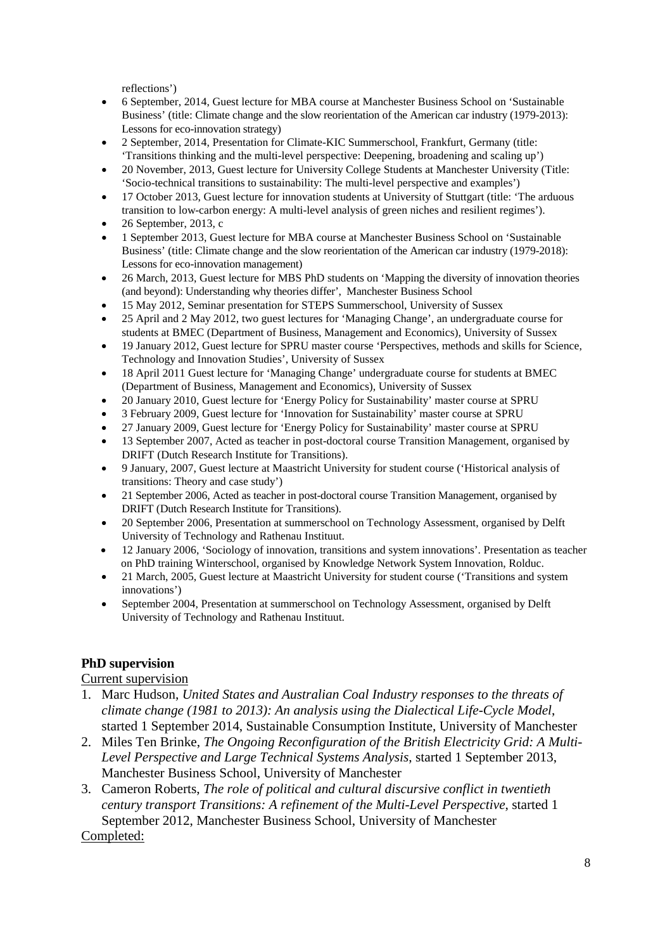reflections')

- 6 September, 2014, Guest lecture for MBA course at Manchester Business School on 'Sustainable Business' (title: Climate change and the slow reorientation of the American car industry (1979-2013): Lessons for eco-innovation strategy)
- 2 September, 2014, Presentation for Climate-KIC Summerschool, Frankfurt, Germany (title: 'Transitions thinking and the multi-level perspective: Deepening, broadening and scaling up')
- 20 November, 2013, Guest lecture for University College Students at Manchester University (Title: 'Socio-technical transitions to sustainability: The multi-level perspective and examples')
- 17 October 2013, Guest lecture for innovation students at University of Stuttgart (title: 'The arduous transition to low-carbon energy: A multi-level analysis of green niches and resilient regimes').
- 26 September, 2013, c
- 1 September 2013, Guest lecture for MBA course at Manchester Business School on 'Sustainable Business' (title: Climate change and the slow reorientation of the American car industry (1979-2018): Lessons for eco-innovation management)
- 26 March, 2013, Guest lecture for MBS PhD students on 'Mapping the diversity of innovation theories (and beyond): Understanding why theories differ', Manchester Business School
- 15 May 2012, Seminar presentation for STEPS Summerschool, University of Sussex
- 25 April and 2 May 2012, two guest lectures for 'Managing Change', an undergraduate course for students at BMEC (Department of Business, Management and Economics), University of Sussex
- 19 January 2012, Guest lecture for SPRU master course 'Perspectives, methods and skills for Science, Technology and Innovation Studies', University of Sussex
- 18 April 2011 Guest lecture for 'Managing Change' undergraduate course for students at BMEC (Department of Business, Management and Economics), University of Sussex
- 20 January 2010, Guest lecture for 'Energy Policy for Sustainability' master course at SPRU
- 3 February 2009, Guest lecture for 'Innovation for Sustainability' master course at SPRU
- 27 January 2009, Guest lecture for 'Energy Policy for Sustainability' master course at SPRU
- 13 September 2007, Acted as teacher in post-doctoral course Transition Management, organised by DRIFT (Dutch Research Institute for Transitions).
- 9 January, 2007, Guest lecture at Maastricht University for student course ('Historical analysis of transitions: Theory and case study')
- 21 September 2006, Acted as teacher in post-doctoral course Transition Management, organised by DRIFT (Dutch Research Institute for Transitions).
- 20 September 2006, Presentation at summerschool on Technology Assessment, organised by Delft University of Technology and Rathenau Instituut.
- 12 January 2006, 'Sociology of innovation, transitions and system innovations'. Presentation as teacher on PhD training Winterschool, organised by Knowledge Network System Innovation, Rolduc.
- 21 March, 2005, Guest lecture at Maastricht University for student course ('Transitions and system innovations')
- September 2004, Presentation at summerschool on Technology Assessment, organised by Delft University of Technology and Rathenau Instituut.

#### **PhD supervision**

#### Current supervision

- 1. Marc Hudson, *United States and Australian Coal Industry responses to the threats of climate change (1981 to 2013): An analysis using the Dialectical Life-Cycle Model*, started 1 September 2014, Sustainable Consumption Institute, University of Manchester
- 2. Miles Ten Brinke, *The Ongoing Reconfiguration of the British Electricity Grid: A Multi-Level Perspective and Large Technical Systems Analysis*, started 1 September 2013, Manchester Business School, University of Manchester
- 3. Cameron Roberts, *The role of political and cultural discursive conflict in twentieth century transport Transitions: A refinement of the Multi-Level Perspective*, started 1 September 2012, Manchester Business School, University of Manchester

Completed: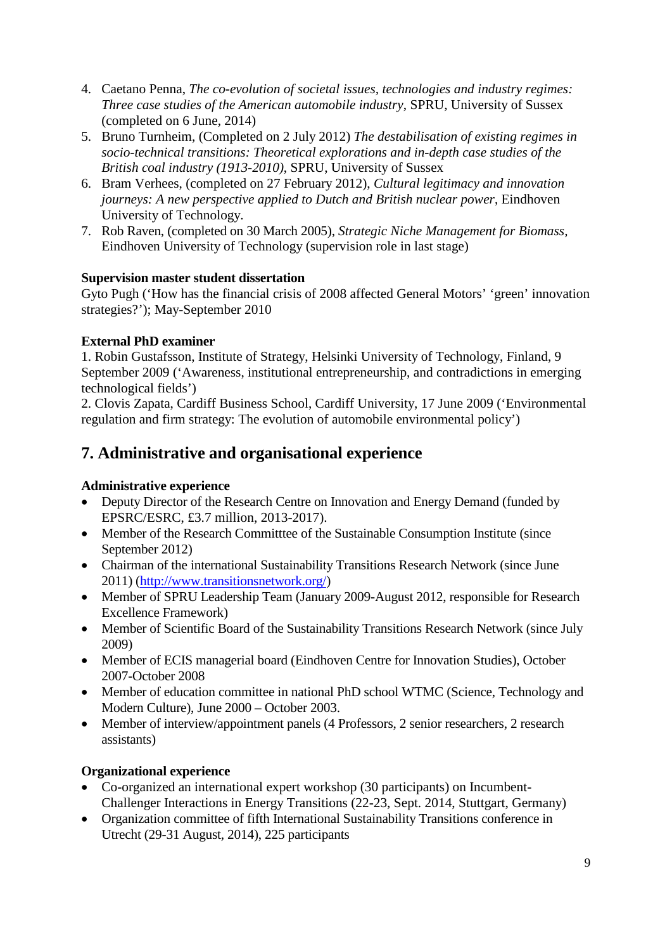- 4. Caetano Penna, *The co-evolution of societal issues, technologies and industry regimes: Three case studies of the American automobile industry*, SPRU, University of Sussex (completed on 6 June, 2014)
- 5. Bruno Turnheim, (Completed on 2 July 2012) *The destabilisation of existing regimes in socio-technical transitions: Theoretical explorations and in-depth case studies of the British coal industry (1913-2010)*, SPRU, University of Sussex
- 6. Bram Verhees, (completed on 27 February 2012), *Cultural legitimacy and innovation journeys: A new perspective applied to Dutch and British nuclear power*, Eindhoven University of Technology.
- 7. Rob Raven, (completed on 30 March 2005), *Strategic Niche Management for Biomass,* Eindhoven University of Technology (supervision role in last stage)

### **Supervision master student dissertation**

Gyto Pugh ('How has the financial crisis of 2008 affected General Motors' 'green' innovation strategies?'); May-September 2010

### **External PhD examiner**

1. Robin Gustafsson, Institute of Strategy, Helsinki University of Technology, Finland, 9 September 2009 ('Awareness, institutional entrepreneurship, and contradictions in emerging technological fields')

2. Clovis Zapata, Cardiff Business School, Cardiff University, 17 June 2009 ('Environmental regulation and firm strategy: The evolution of automobile environmental policy')

# **7. Administrative and organisational experience**

# **Administrative experience**

- Deputy Director of the Research Centre on Innovation and Energy Demand (funded by EPSRC/ESRC, £3.7 million, 2013-2017).
- Member of the Research Committee of the Sustainable Consumption Institute (since September 2012)
- Chairman of the international Sustainability Transitions Research Network (since June 2011) [\(http://www.transitionsnetwork.org/\)](http://www.transitionsnetwork.org/)
- Member of SPRU Leadership Team (January 2009-August 2012, responsible for Research Excellence Framework)
- Member of Scientific Board of the Sustainability Transitions Research Network (since July 2009)
- Member of ECIS managerial board (Eindhoven Centre for Innovation Studies), October 2007-October 2008
- Member of education committee in national PhD school WTMC (Science, Technology and Modern Culture), June 2000 – October 2003.
- Member of interview/appointment panels (4 Professors, 2 senior researchers, 2 research assistants)

# **Organizational experience**

- Co-organized an international expert workshop (30 participants) on Incumbent-Challenger Interactions in Energy Transitions (22-23, Sept. 2014, Stuttgart, Germany)
- Organization committee of fifth International Sustainability Transitions conference in Utrecht (29-31 August, 2014), 225 participants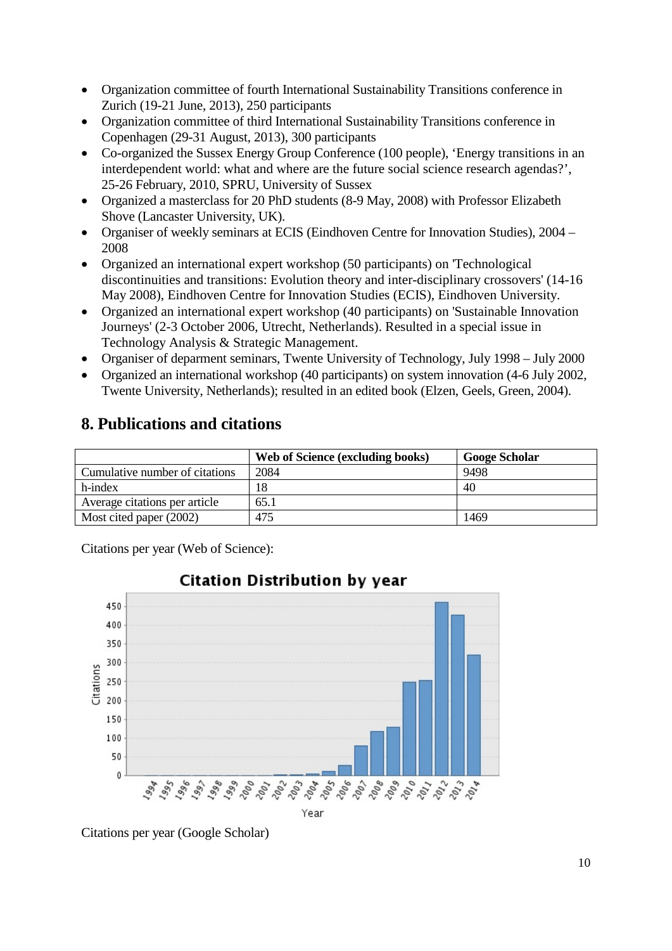- Organization committee of fourth International Sustainability Transitions conference in Zurich (19-21 June, 2013), 250 participants
- Organization committee of third International Sustainability Transitions conference in Copenhagen (29-31 August, 2013), 300 participants
- Co-organized the Sussex Energy Group Conference (100 people), 'Energy transitions in an interdependent world: what and where are the future social science research agendas?', 25-26 February, 2010, SPRU, University of Sussex
- Organized a masterclass for 20 PhD students (8-9 May, 2008) with Professor Elizabeth Shove (Lancaster University, UK).
- Organiser of weekly seminars at ECIS (Eindhoven Centre for Innovation Studies), 2004 2008
- Organized an international expert workshop (50 participants) on 'Technological discontinuities and transitions: Evolution theory and inter-disciplinary crossovers' (14-16 May 2008), Eindhoven Centre for Innovation Studies (ECIS), Eindhoven University.
- Organized an international expert workshop (40 participants) on 'Sustainable Innovation Journeys' (2-3 October 2006, Utrecht, Netherlands). Resulted in a special issue in Technology Analysis & Strategic Management.
- Organiser of deparment seminars, Twente University of Technology, July 1998 July 2000
- Organized an international workshop (40 participants) on system innovation (4-6 July 2002, Twente University, Netherlands); resulted in an edited book (Elzen, Geels, Green, 2004).

# **8. Publications and citations**

|                                | Web of Science (excluding books) | <b>Googe Scholar</b> |
|--------------------------------|----------------------------------|----------------------|
| Cumulative number of citations | 2084                             | 9498                 |
| h-index                        |                                  | 40                   |
| Average citations per article  | 65.1                             |                      |
| Most cited paper (2002)        | 475                              | 1469                 |

Citations per year (Web of Science):



# **Citation Distribution by year**

Citations per year (Google Scholar)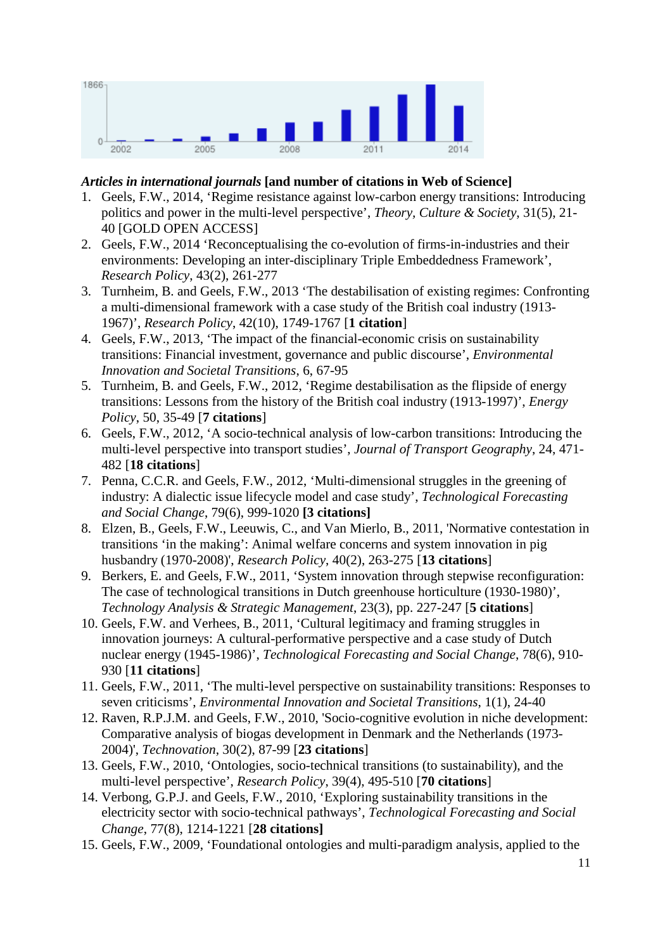

### *Articles in international journals* **[and number of citations in Web of Science]**

- 1. Geels, F.W., 2014, 'Regime resistance against low-carbon energy transitions: Introducing politics and power in the multi-level perspective', *Theory, Culture & Society*, 31(5), 21- 40 [GOLD OPEN ACCESS]
- 2. Geels, F.W., 2014 'Reconceptualising the co-evolution of firms-in-industries and their environments: Developing an inter-disciplinary Triple Embeddedness Framework', *Research Policy*, 43(2), 261-277
- 3. Turnheim, B. and Geels, F.W., 2013 'The destabilisation of existing regimes: Confronting a multi-dimensional framework with a case study of the British coal industry (1913- 1967)', *Research Policy*, 42(10), 1749-1767 [**1 citation**]
- 4. Geels, F.W., 2013, 'The impact of the financial-economic crisis on sustainability transitions: Financial investment, governance and public discourse', *Environmental Innovation and Societal Transitions*, 6, 67-95
- 5. Turnheim, B. and Geels, F.W., 2012, 'Regime destabilisation as the flipside of energy transitions: Lessons from the history of the British coal industry (1913-1997)', *Energy Policy*, 50, 35-49 [**7 citations**]
- 6. Geels, F.W., 2012, 'A socio-technical analysis of low-carbon transitions: Introducing the multi-level perspective into transport studies', *Journal of Transport Geography*, 24, 471- 482 [**18 citations**]
- 7. Penna, C.C.R. and Geels, F.W., 2012, 'Multi-dimensional struggles in the greening of industry: A dialectic issue lifecycle model and case study', *Technological Forecasting and Social Change*, 79(6), 999-1020 **[3 citations]**
- 8. Elzen, B., Geels, F.W., Leeuwis, C., and Van Mierlo, B., 2011, 'Normative contestation in transitions 'in the making': Animal welfare concerns and system innovation in pig husbandry (1970-2008)', *Research Policy*, 40(2), 263-275 [**13 citations**]
- 9. Berkers, E. and Geels, F.W., 2011, 'System innovation through stepwise reconfiguration: The case of technological transitions in Dutch greenhouse horticulture (1930-1980)', *Technology Analysis & Strategic Management*, 23(3), pp. 227-247 [**5 citations**]
- 10. Geels, F.W. and Verhees, B., 2011, 'Cultural legitimacy and framing struggles in innovation journeys: A cultural-performative perspective and a case study of Dutch nuclear energy (1945-1986)', *Technological Forecasting and Social Change*, 78(6), 910- 930 [**11 citations**]
- 11. Geels, F.W., 2011, 'The multi-level perspective on sustainability transitions: Responses to seven criticisms', *Environmental Innovation and Societal Transitions*, 1(1), 24-40
- 12. Raven, R.P.J.M. and Geels, F.W., 2010, 'Socio-cognitive evolution in niche development: Comparative analysis of biogas development in Denmark and the Netherlands (1973- 2004)', *Technovation*, 30(2), 87-99 [**23 citations**]
- 13. Geels, F.W., 2010, 'Ontologies, socio-technical transitions (to sustainability), and the multi-level perspective', *Research Policy*, 39(4), 495-510 [**70 citations**]
- 14. Verbong, G.P.J. and Geels, F.W., 2010, 'Exploring sustainability transitions in the electricity sector with socio-technical pathways', *Technological Forecasting and Social Change*, 77(8), 1214-1221 [**28 citations]**
- 15. Geels, F.W., 2009, 'Foundational ontologies and multi-paradigm analysis, applied to the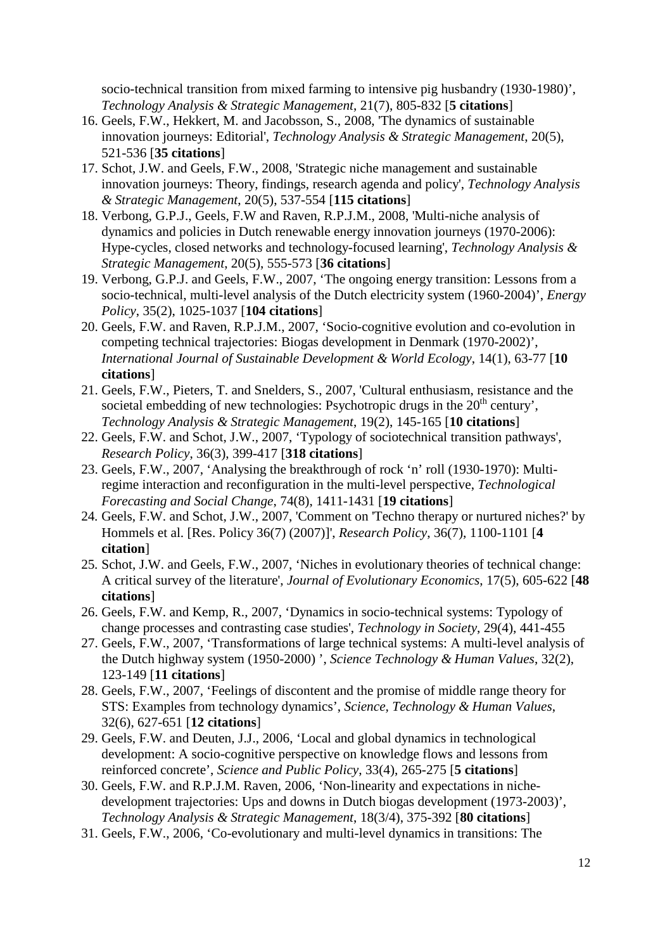socio-technical transition from mixed farming to intensive pig husbandry (1930-1980)', *Technology Analysis & Strategic Management*, 21(7), 805-832 [**5 citations**]

- 16. Geels, F.W., Hekkert, M. and Jacobsson, S., 2008, 'The dynamics of sustainable innovation journeys: Editorial', *Technology Analysis & Strategic Management*, 20(5), 521-536 [**35 citations**]
- 17. Schot, J.W. and Geels, F.W., 2008, 'Strategic niche management and sustainable innovation journeys: Theory, findings, research agenda and policy', *Technology Analysis & Strategic Management*, 20(5), 537-554 [**115 citations**]
- 18. Verbong, G.P.J., Geels, F.W and Raven, R.P.J.M., 2008, 'Multi-niche analysis of dynamics and policies in Dutch renewable energy innovation journeys (1970-2006): Hype-cycles, closed networks and technology-focused learning', *Technology Analysis & Strategic Management*, 20(5), 555-573 [**36 citations**]
- 19. Verbong, G.P.J. and Geels, F.W., 2007, 'The ongoing energy transition: Lessons from a socio-technical, multi-level analysis of the Dutch electricity system (1960-2004)', *Energy Policy*, 35(2), 1025-1037 [**104 citations**]
- 20. Geels, F.W. and Raven, R.P.J.M., 2007, 'Socio-cognitive evolution and co-evolution in competing technical trajectories: Biogas development in Denmark (1970-2002)', *International Journal of Sustainable Development & World Ecology*, 14(1), 63-77 [**10 citations**]
- 21. Geels, F.W., Pieters, T. and Snelders, S., 2007, 'Cultural enthusiasm, resistance and the societal embedding of new technologies: Psychotropic drugs in the  $20<sup>th</sup>$  century', *Technology Analysis & Strategic Management*, 19(2), 145-165 [**10 citations**]
- 22. Geels, F.W. and Schot, J.W., 2007, 'Typology of sociotechnical transition pathways', *Research Policy*, 36(3), 399-417 [**318 citations**]
- 23. Geels, F.W., 2007, 'Analysing the breakthrough of rock 'n' roll (1930-1970): Multiregime interaction and reconfiguration in the multi-level perspective, *Technological Forecasting and Social Change*, 74(8), 1411-1431 [**19 citations**]
- 24. Geels, F.W. and Schot, J.W., 2007, 'Comment on 'Techno therapy or nurtured niches?' by Hommels et al. [Res. Policy 36(7) (2007)]', *Research Policy*, 36(7), 1100-1101 [**4 citation**]
- 25. Schot, J.W. and Geels, F.W., 2007, 'Niches in evolutionary theories of technical change: A critical survey of the literature', *Journal of Evolutionary Economics*, 17(5), 605-622 [**48 citations**]
- 26. Geels, F.W. and Kemp, R., 2007, 'Dynamics in socio-technical systems: Typology of change processes and contrasting case studies', *Technology in Society*, 29(4), 441-455
- 27. Geels, F.W., 2007, 'Transformations of large technical systems: A multi-level analysis of the Dutch highway system (1950-2000) ', *Science Technology & Human Values*, 32(2), 123-149 [**11 citations**]
- 28. Geels, F.W., 2007, 'Feelings of discontent and the promise of middle range theory for STS: Examples from technology dynamics', *Science, Technology & Human Values*, 32(6), 627-651 [**12 citations**]
- 29. Geels, F.W. and Deuten, J.J., 2006, 'Local and global dynamics in technological development: A socio-cognitive perspective on knowledge flows and lessons from reinforced concrete', *Science and Public Policy*, 33(4), 265-275 [**5 citations**]
- 30. Geels, F.W. and R.P.J.M. Raven, 2006, 'Non-linearity and expectations in nichedevelopment trajectories: Ups and downs in Dutch biogas development (1973-2003)', *Technology Analysis & Strategic Management*, 18(3/4), 375-392 [**80 citations**]
- 31. Geels, F.W., 2006, 'Co-evolutionary and multi-level dynamics in transitions: The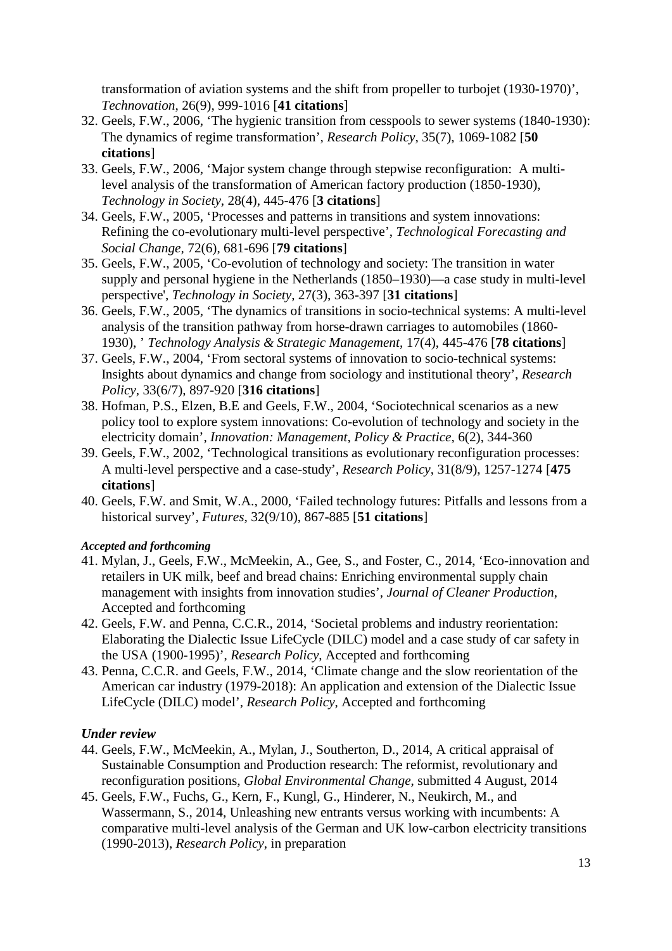transformation of aviation systems and the shift from propeller to turbojet (1930-1970)', *Technovation*, 26(9), 999-1016 [**41 citations**]

- 32. Geels, F.W., 2006, 'The hygienic transition from cesspools to sewer systems (1840-1930): The dynamics of regime transformation', *Research Policy*, 35(7), 1069-1082 [**50 citations**]
- 33. Geels, F.W., 2006, 'Major system change through stepwise reconfiguration: A multilevel analysis of the transformation of American factory production (1850-1930), *Technology in Society*, 28(4), 445-476 [**3 citations**]
- 34. Geels, F.W., 2005, 'Processes and patterns in transitions and system innovations: Refining the co-evolutionary multi-level perspective', *Technological Forecasting and Social Change,* 72(6), 681-696 [**79 citations**]
- 35. Geels, F.W., 2005, 'Co-evolution of technology and society: The transition in water supply and personal hygiene in the Netherlands (1850–1930)—a case study in multi-level perspective', *Technology in Society*, 27(3), 363-397 [**31 citations**]
- 36. Geels, F.W., 2005, 'The dynamics of transitions in socio-technical systems: A multi-level analysis of the transition pathway from horse-drawn carriages to automobiles (1860- 1930), ' *Technology Analysis & Strategic Management*, 17(4), 445-476 [**78 citations**]
- 37. Geels, F.W., 2004, 'From sectoral systems of innovation to socio-technical systems: Insights about dynamics and change from sociology and institutional theory', *Research Policy*, 33(6/7), 897-920 [**316 citations**]
- 38. Hofman, P.S., Elzen, B.E and Geels, F.W., 2004, 'Sociotechnical scenarios as a new policy tool to explore system innovations: Co-evolution of technology and society in the electricity domain', *Innovation: Management, Policy & Practice*, 6(2), 344-360
- 39. Geels, F.W., 2002, 'Technological transitions as evolutionary reconfiguration processes: A multi-level perspective and a case-study', *Research Policy*, 31(8/9), 1257-1274 [**475 citations**]
- 40. Geels, F.W. and Smit, W.A., 2000, 'Failed technology futures: Pitfalls and lessons from a historical survey', *Futures*, 32(9/10), 867-885 [**51 citations**]

#### *Accepted and forthcoming*

- 41. Mylan, J., Geels, F.W., McMeekin, A., Gee, S., and Foster, C., 2014, 'Eco-innovation and retailers in UK milk, beef and bread chains: Enriching environmental supply chain management with insights from innovation studies', *Journal of Cleaner Production*, Accepted and forthcoming
- 42. Geels, F.W. and Penna, C.C.R., 2014, 'Societal problems and industry reorientation: Elaborating the Dialectic Issue LifeCycle (DILC) model and a case study of car safety in the USA (1900-1995)', *Research Policy*, Accepted and forthcoming
- 43. Penna, C.C.R. and Geels, F.W., 2014, 'Climate change and the slow reorientation of the American car industry (1979-2018): An application and extension of the Dialectic Issue LifeCycle (DILC) model', *Research Policy*, Accepted and forthcoming

#### *Under review*

- 44. Geels, F.W., McMeekin, A., Mylan, J., Southerton, D., 2014, A critical appraisal of Sustainable Consumption and Production research: The reformist, revolutionary and reconfiguration positions, *Global Environmental Change*, submitted 4 August, 2014
- 45. Geels, F.W., Fuchs, G., Kern, F., Kungl, G., Hinderer, N., Neukirch, M., and Wassermann, S., 2014, Unleashing new entrants versus working with incumbents: A comparative multi-level analysis of the German and UK low-carbon electricity transitions (1990-2013), *Research Policy*, in preparation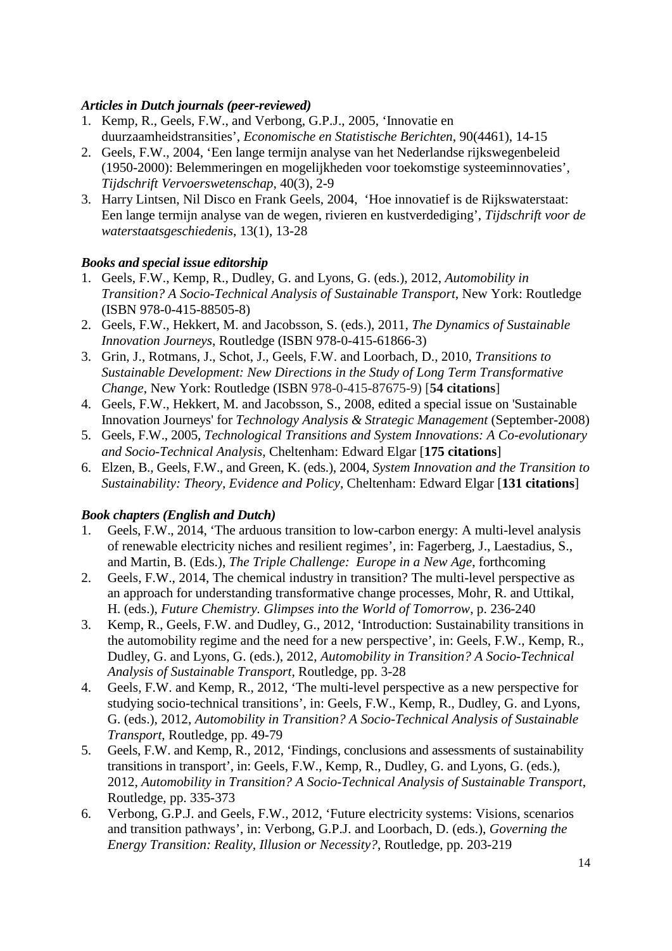#### *Articles in Dutch journals (peer-reviewed)*

- 1. Kemp, R., Geels, F.W., and Verbong, G.P.J., 2005, 'Innovatie en duurzaamheidstransities', *Economische en Statistische Berichten*, 90(4461), 14-15
- 2. Geels, F.W., 2004, 'Een lange termijn analyse van het Nederlandse rijkswegenbeleid (1950-2000): Belemmeringen en mogelijkheden voor toekomstige systeeminnovaties', *Tijdschrift Vervoerswetenschap*, 40(3), 2-9
- 3. Harry Lintsen, Nil Disco en Frank Geels, 2004, 'Hoe innovatief is de Rijkswaterstaat: Een lange termijn analyse van de wegen, rivieren en kustverdediging', *Tijdschrift voor de waterstaatsgeschiedenis*, 13(1), 13-28

#### *Books and special issue editorship*

- 1. Geels, F.W., Kemp, R., Dudley, G. and Lyons, G. (eds.), 2012, *Automobility in Transition? A Socio-Technical Analysis of Sustainable Transport*, New York: Routledge (ISBN 978-0-415-88505-8)
- 2. Geels, F.W., Hekkert, M. and Jacobsson, S. (eds.), 2011, *The Dynamics of Sustainable Innovation Journeys*, Routledge (ISBN 978-0-415-61866-3)
- 3. Grin, J., Rotmans, J., Schot, J., Geels, F.W. and Loorbach, D., 2010, *Transitions to Sustainable Development: New Directions in the Study of Long Term Transformative Change*, New York: Routledge (ISBN 978-0-415-87675-9) [**54 citations**]
- 4. Geels, F.W., Hekkert, M. and Jacobsson, S., 2008, edited a special issue on 'Sustainable Innovation Journeys' for *Technology Analysis & Strategic Management* (September-2008)
- 5. Geels, F.W., 2005, *Technological Transitions and System Innovations: A Co-evolutionary and Socio-Technical Analysis*, Cheltenham: Edward Elgar [**175 citations**]
- 6. Elzen, B., Geels, F.W., and Green, K. (eds.), 2004, *System Innovation and the Transition to Sustainability: Theory, Evidence and Policy*, Cheltenham: Edward Elgar [**131 citations**]

### *Book chapters (English and Dutch)*

- 1. Geels, F.W., 2014, 'The arduous transition to low-carbon energy: A multi-level analysis of renewable electricity niches and resilient regimes', in: Fagerberg, J., Laestadius, S., and Martin, B. (Eds.), *The Triple Challenge: Europe in a New Age*, forthcoming
- 2. Geels, F.W., 2014, The chemical industry in transition? The multi-level perspective as an approach for understanding transformative change processes, Mohr, R. and Uttikal, H. (eds.), *Future Chemistry. Glimpses into the World of Tomorrow*, p. 236-240
- 3. Kemp, R., Geels, F.W. and Dudley, G., 2012, 'Introduction: Sustainability transitions in the automobility regime and the need for a new perspective', in: Geels, F.W., Kemp, R., Dudley, G. and Lyons, G. (eds.), 2012, *Automobility in Transition? A Socio-Technical Analysis of Sustainable Transport*, Routledge, pp. 3-28
- 4. Geels, F.W. and Kemp, R., 2012, 'The multi-level perspective as a new perspective for studying socio-technical transitions', in: Geels, F.W., Kemp, R., Dudley, G. and Lyons, G. (eds.), 2012, *Automobility in Transition? A Socio-Technical Analysis of Sustainable Transport*, Routledge, pp. 49-79
- 5. Geels, F.W. and Kemp, R., 2012, 'Findings, conclusions and assessments of sustainability transitions in transport', in: Geels, F.W., Kemp, R., Dudley, G. and Lyons, G. (eds.), 2012, *Automobility in Transition? A Socio-Technical Analysis of Sustainable Transport*, Routledge, pp. 335-373
- 6. Verbong, G.P.J. and Geels, F.W., 2012, 'Future electricity systems: Visions, scenarios and transition pathways', in: Verbong, G.P.J. and Loorbach, D. (eds.), *Governing the Energy Transition: Reality, Illusion or Necessity?*, Routledge, pp. 203-219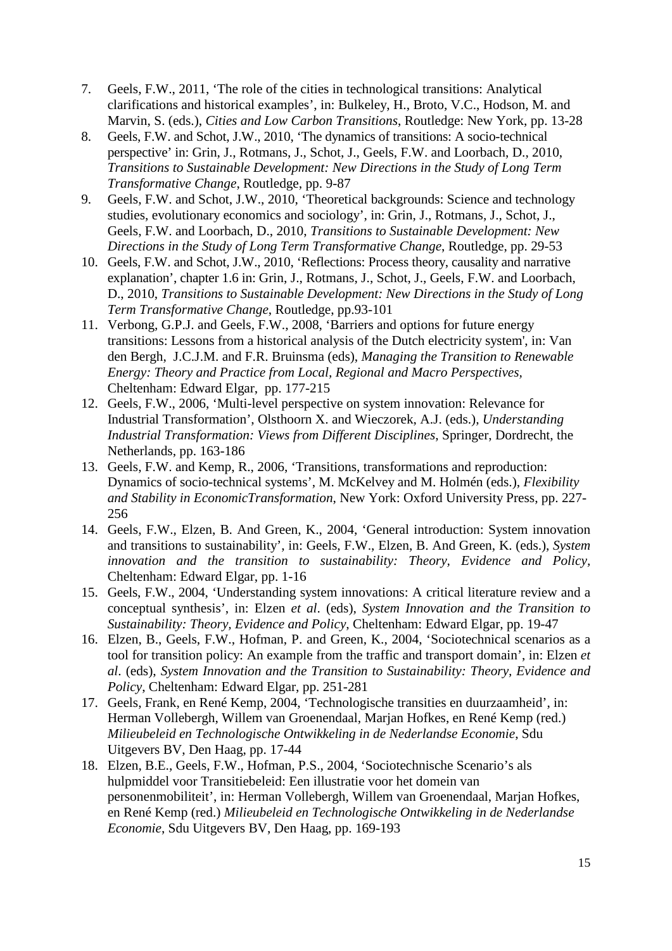- 7. Geels, F.W., 2011, 'The role of the cities in technological transitions: Analytical clarifications and historical examples', in: Bulkeley, H., Broto, V.C., Hodson, M. and Marvin, S. (eds.), *Cities and Low Carbon Transitions*, Routledge: New York, pp. 13-28
- 8. Geels, F.W. and Schot, J.W., 2010, 'The dynamics of transitions: A socio-technical perspective' in: Grin, J., Rotmans, J., Schot, J., Geels, F.W. and Loorbach, D., 2010, *Transitions to Sustainable Development: New Directions in the Study of Long Term Transformative Change*, Routledge, pp. 9-87
- 9. Geels, F.W. and Schot, J.W., 2010, 'Theoretical backgrounds: Science and technology studies, evolutionary economics and sociology', in: Grin, J., Rotmans, J., Schot, J., Geels, F.W. and Loorbach, D., 2010, *Transitions to Sustainable Development: New Directions in the Study of Long Term Transformative Change*, Routledge, pp. 29-53
- 10. Geels, F.W. and Schot, J.W., 2010, 'Reflections: Process theory, causality and narrative explanation', chapter 1.6 in: Grin, J., Rotmans, J., Schot, J., Geels, F.W. and Loorbach, D., 2010, *Transitions to Sustainable Development: New Directions in the Study of Long Term Transformative Change*, Routledge, pp.93-101
- 11. Verbong, G.P.J. and Geels, F.W., 2008, 'Barriers and options for future energy transitions: Lessons from a historical analysis of the Dutch electricity system', in: Van den Bergh, J.C.J.M. and F.R. Bruinsma (eds), *Managing the Transition to Renewable Energy: Theory and Practice from Local, Regional and Macro Perspectives,* Cheltenham: Edward Elgar, pp. 177-215
- 12. Geels, F.W., 2006, 'Multi-level perspective on system innovation: Relevance for Industrial Transformation', Olsthoorn X. and Wieczorek, A.J. (eds.), *Understanding Industrial Transformation: Views from Different Disciplines*, Springer, Dordrecht, the Netherlands, pp. 163-186
- 13. Geels, F.W. and Kemp, R., 2006, 'Transitions, transformations and reproduction: Dynamics of socio-technical systems', M. McKelvey and M. Holmén (eds.), *Flexibility and Stability in EconomicTransformation*, New York: Oxford University Press, pp. 227- 256
- 14. Geels, F.W., Elzen, B. And Green, K., 2004, 'General introduction: System innovation and transitions to sustainability', in: Geels, F.W., Elzen, B. And Green, K. (eds.), *System innovation and the transition to sustainability: Theory, Evidence and Policy,* Cheltenham: Edward Elgar, pp. 1-16
- 15. Geels, F.W., 2004, 'Understanding system innovations: A critical literature review and a conceptual synthesis', in: Elzen *et al*. (eds), *System Innovation and the Transition to Sustainability: Theory, Evidence and Policy*, Cheltenham: Edward Elgar, pp. 19-47
- 16. Elzen, B., Geels, F.W., Hofman, P. and Green, K., 2004, 'Sociotechnical scenarios as a tool for transition policy: An example from the traffic and transport domain', in: Elzen *et al*. (eds), *System Innovation and the Transition to Sustainability: Theory, Evidence and Policy*, Cheltenham: Edward Elgar, pp. 251-281
- 17. Geels, Frank, en René Kemp, 2004, 'Technologische transities en duurzaamheid', in: Herman Vollebergh, Willem van Groenendaal, Marjan Hofkes, en René Kemp (red.) *Milieubeleid en Technologische Ontwikkeling in de Nederlandse Economie*, Sdu Uitgevers BV, Den Haag, pp. 17-44
- 18. Elzen, B.E., Geels, F.W., Hofman, P.S., 2004, 'Sociotechnische Scenario's als hulpmiddel voor Transitiebeleid: Een illustratie voor het domein van personenmobiliteit', in: Herman Vollebergh, Willem van Groenendaal, Marjan Hofkes, en René Kemp (red.) *Milieubeleid en Technologische Ontwikkeling in de Nederlandse Economie*, Sdu Uitgevers BV, Den Haag, pp. 169-193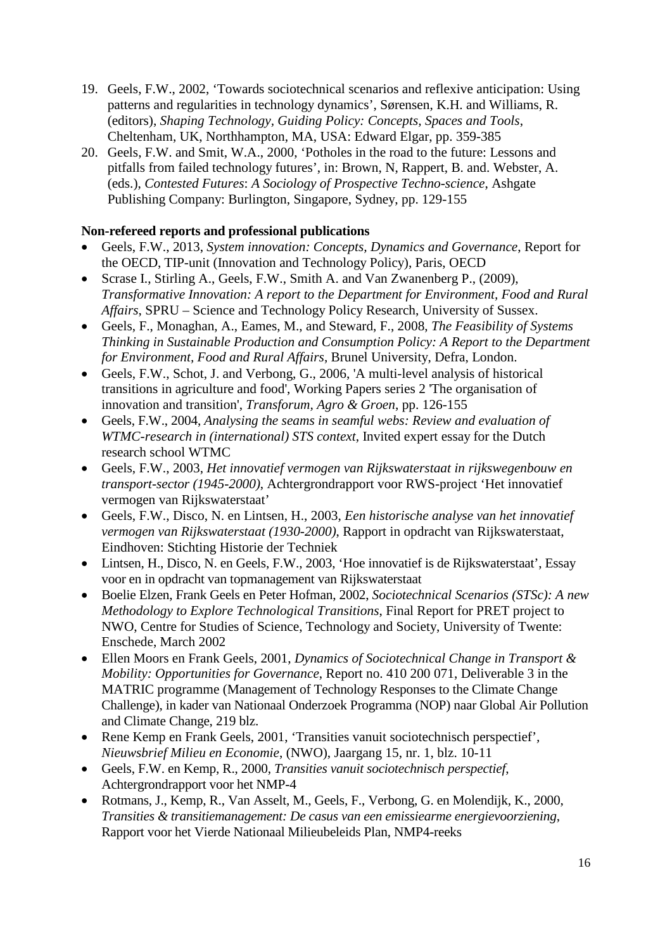- 19. Geels, F.W., 2002, 'Towards sociotechnical scenarios and reflexive anticipation: Using patterns and regularities in technology dynamics', Sørensen, K.H. and Williams, R. (editors), *Shaping Technology, Guiding Policy: Concepts, Spaces and Tools*, Cheltenham, UK, Northhampton, MA, USA: Edward Elgar, pp. 359-385
- 20. Geels, F.W. and Smit, W.A., 2000, 'Potholes in the road to the future: Lessons and pitfalls from failed technology futures', in: Brown, N, Rappert, B. and. Webster, A. (eds.), *Contested Futures*: *A Sociology of Prospective Techno-science*, Ashgate Publishing Company: Burlington, Singapore, Sydney, pp. 129-155

#### **Non-refereed reports and professional publications**

- Geels, F.W., 2013, *System innovation: Concepts, Dynamics and Governance*, Report for the OECD, TIP-unit (Innovation and Technology Policy), Paris, OECD
- Scrase I., Stirling A., Geels, F.W., Smith A. and Van Zwanenberg P., (2009), *Transformative Innovation: A report to the Department for Environment, Food and Rural Affairs*, SPRU – Science and Technology Policy Research, University of Sussex.
- Geels, F., Monaghan, A., Eames, M., and Steward, F., 2008, *The Feasibility of Systems Thinking in Sustainable Production and Consumption Policy: A Report to the Department for Environment, Food and Rural Affairs*, Brunel University, Defra, London.
- Geels, F.W., Schot, J. and Verbong, G., 2006, 'A multi-level analysis of historical transitions in agriculture and food', Working Papers series 2 'The organisation of innovation and transition', *Transforum, Agro & Groen*, pp. 126-155
- Geels, F.W., 2004, *Analysing the seams in seamful webs: Review and evaluation of WTMC-research in (international) STS context*, Invited expert essay for the Dutch research school WTMC
- Geels, F.W., 2003, *Het innovatief vermogen van Rijkswaterstaat in rijkswegenbouw en transport-sector (1945-2000)*, Achtergrondrapport voor RWS-project 'Het innovatief vermogen van Rijkswaterstaat'
- Geels, F.W., Disco, N. en Lintsen, H., 2003, *Een historische analyse van het innovatief vermogen van Rijkswaterstaat (1930-2000)*, Rapport in opdracht van Rijkswaterstaat, Eindhoven: Stichting Historie der Techniek
- Lintsen, H., Disco, N. en Geels, F.W., 2003, 'Hoe innovatief is de Rijkswaterstaat', Essay voor en in opdracht van topmanagement van Rijkswaterstaat
- Boelie Elzen, Frank Geels en Peter Hofman, 2002, *Sociotechnical Scenarios (STSc): A new Methodology to Explore Technological Transitions*, Final Report for PRET project to NWO, Centre for Studies of Science, Technology and Society, University of Twente: Enschede, March 2002
- Ellen Moors en Frank Geels, 2001, *Dynamics of Sociotechnical Change in Transport & Mobility: Opportunities for Governance*, Report no. 410 200 071, Deliverable 3 in the MATRIC programme (Management of Technology Responses to the Climate Change Challenge), in kader van Nationaal Onderzoek Programma (NOP) naar Global Air Pollution and Climate Change, 219 blz.
- Rene Kemp en Frank Geels, 2001, 'Transities vanuit sociotechnisch perspectief'*, Nieuwsbrief Milieu en Economie*, (NWO), Jaargang 15, nr. 1, blz. 10-11
- Geels, F.W. en Kemp, R., 2000, *Transities vanuit sociotechnisch perspectief*, Achtergrondrapport voor het NMP-4
- Rotmans, J., Kemp, R., Van Asselt, M., Geels, F., Verbong, G. en Molendijk, K., 2000, *Transities & transitiemanagement: De casus van een emissiearme energievoorziening*, Rapport voor het Vierde Nationaal Milieubeleids Plan, NMP4-reeks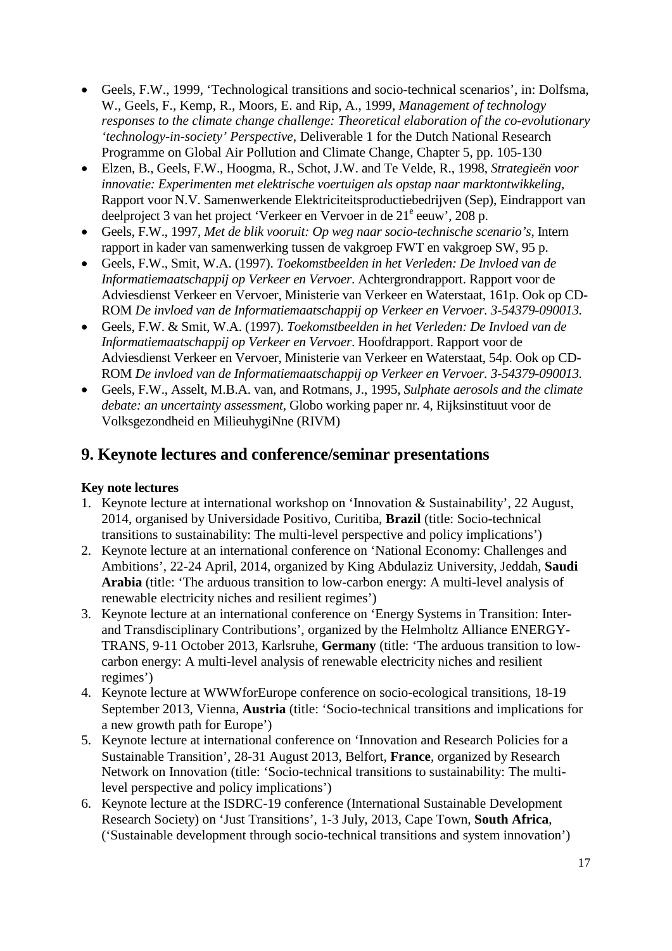- Geels, F.W., 1999, 'Technological transitions and socio-technical scenarios', in: Dolfsma, W., Geels, F., Kemp, R., Moors, E. and Rip, A., 1999, *Management of technology responses to the climate change challenge: Theoretical elaboration of the co-evolutionary 'technology-in-society' Perspective*, Deliverable 1 for the Dutch National Research Programme on Global Air Pollution and Climate Change, Chapter 5, pp. 105-130
- Elzen, B., Geels, F.W., Hoogma, R., Schot, J.W. and Te Velde, R., 1998, *Strategieën voor innovatie: Experimenten met elektrische voertuigen als opstap naar marktontwikkeling*, Rapport voor N.V. Samenwerkende Elektriciteitsproductiebedrijven (Sep), Eindrapport van deelproject 3 van het project 'Verkeer en Vervoer in de 21<sup>e</sup> eeuw', 208 p.
- Geels, F.W., 1997, *Met de blik vooruit: Op weg naar socio-technische scenario's*, Intern rapport in kader van samenwerking tussen de vakgroep FWT en vakgroep SW, 95 p.
- Geels, F.W., Smit, W.A. (1997). *Toekomstbeelden in het Verleden: De Invloed van de Informatiemaatschappij op Verkeer en Vervoer*. Achtergrondrapport. Rapport voor de Adviesdienst Verkeer en Vervoer, Ministerie van Verkeer en Waterstaat, 161p. Ook op CD-ROM *De invloed van de Informatiemaatschappij op Verkeer en Vervoer. 3-54379-090013.*
- Geels, F.W. & Smit, W.A. (1997). *Toekomstbeelden in het Verleden: De Invloed van de Informatiemaatschappij op Verkeer en Vervoer*. Hoofdrapport. Rapport voor de Adviesdienst Verkeer en Vervoer, Ministerie van Verkeer en Waterstaat, 54p. Ook op CD-ROM *De invloed van de Informatiemaatschappij op Verkeer en Vervoer. 3-54379-090013.*
- Geels, F.W., Asselt, M.B.A. van, and Rotmans, J., 1995, *Sulphate aerosols and the climate debate: an uncertainty assessment*, Globo working paper nr. 4, Rijksinstituut voor de Volksgezondheid en MilieuhygiNne (RIVM)

# **9. Keynote lectures and conference/seminar presentations**

#### **Key note lectures**

- 1. Keynote lecture at international workshop on 'Innovation & Sustainability', 22 August, 2014, organised by Universidade Positivo, Curitiba, **Brazil** (title: Socio-technical transitions to sustainability: The multi-level perspective and policy implications')
- 2. Keynote lecture at an international conference on 'National Economy: Challenges and Ambitions', 22-24 April, 2014, organized by King Abdulaziz University, Jeddah, **Saudi Arabia** (title: 'The arduous transition to low-carbon energy: A multi-level analysis of renewable electricity niches and resilient regimes')
- 3. Keynote lecture at an international conference on 'Energy Systems in Transition: Interand Transdisciplinary Contributions', organized by the Helmholtz Alliance ENERGY-TRANS, 9-11 October 2013, Karlsruhe, **Germany** (title: 'The arduous transition to lowcarbon energy: A multi-level analysis of renewable electricity niches and resilient regimes')
- 4. Keynote lecture at WWWforEurope conference on socio-ecological transitions, 18-19 September 2013, Vienna, **Austria** (title: 'Socio-technical transitions and implications for a new growth path for Europe')
- 5. Keynote lecture at international conference on 'Innovation and Research Policies for a Sustainable Transition', 28-31 August 2013, Belfort, **France**, organized by Research Network on Innovation (title: 'Socio-technical transitions to sustainability: The multilevel perspective and policy implications')
- 6. Keynote lecture at the ISDRC-19 conference (International Sustainable Development Research Society) on 'Just Transitions', 1-3 July, 2013, Cape Town, **South Africa**, ('Sustainable development through socio-technical transitions and system innovation')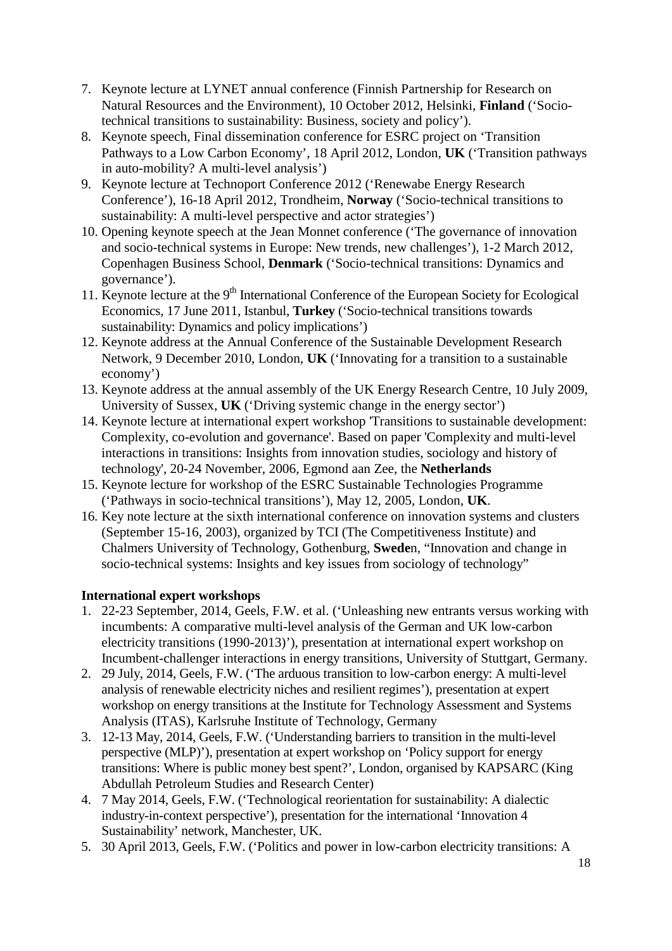- 7. Keynote lecture at LYNET annual conference (Finnish Partnership for Research on Natural Resources and the Environment), 10 October 2012, Helsinki, **Finland** ('Sociotechnical transitions to sustainability: Business, society and policy').
- 8. Keynote speech, Final dissemination conference for ESRC project on 'Transition Pathways to a Low Carbon Economy', 18 April 2012, London, **UK** ('Transition pathways in auto-mobility? A multi-level analysis')
- 9. Keynote lecture at Technoport Conference 2012 ('Renewabe Energy Research Conference'), 16-18 April 2012, Trondheim, **Norway** ('Socio-technical transitions to sustainability: A multi-level perspective and actor strategies')
- 10. Opening keynote speech at the Jean Monnet conference ('The governance of innovation and socio-technical systems in Europe: New trends, new challenges'), 1-2 March 2012, Copenhagen Business School, **Denmark** ('Socio-technical transitions: Dynamics and governance').
- 11. Keynote lecture at the  $9<sup>th</sup>$  International Conference of the European Society for Ecological Economics, 17 June 2011, Istanbul, **Turkey** ('Socio-technical transitions towards sustainability: Dynamics and policy implications')
- 12. Keynote address at the Annual Conference of the Sustainable Development Research Network, 9 December 2010, London, **UK** ('Innovating for a transition to a sustainable economy')
- 13. Keynote address at the annual assembly of the UK Energy Research Centre, 10 July 2009, University of Sussex, **UK** ('Driving systemic change in the energy sector')
- 14. Keynote lecture at international expert workshop 'Transitions to sustainable development: Complexity, co-evolution and governance'. Based on paper 'Complexity and multi-level interactions in transitions: Insights from innovation studies, sociology and history of technology', 20-24 November, 2006, Egmond aan Zee, the **Netherlands**
- 15. Keynote lecture for workshop of the ESRC Sustainable Technologies Programme ('Pathways in socio-technical transitions'), May 12, 2005, London, **UK**.
- 16. Key note lecture at the sixth international conference on innovation systems and clusters (September 15-16, 2003), organized by TCI (The Competitiveness Institute) and Chalmers University of Technology, Gothenburg, **Swede**n, "Innovation and change in socio-technical systems: Insights and key issues from sociology of technology"

# **International expert workshops**

- 1. 22-23 September, 2014, Geels, F.W. et al. ('Unleashing new entrants versus working with incumbents: A comparative multi-level analysis of the German and UK low-carbon electricity transitions (1990-2013)'), presentation at international expert workshop on Incumbent-challenger interactions in energy transitions, University of Stuttgart, Germany.
- 2. 29 July, 2014, Geels, F.W. ('The arduous transition to low-carbon energy: A multi-level analysis of renewable electricity niches and resilient regimes'), presentation at expert workshop on energy transitions at the Institute for Technology Assessment and Systems Analysis (ITAS), Karlsruhe Institute of Technology, Germany
- 3. 12-13 May, 2014, Geels, F.W. ('Understanding barriers to transition in the multi-level perspective (MLP)'), presentation at expert workshop on 'Policy support for energy transitions: Where is public money best spent?', London, organised by KAPSARC (King Abdullah Petroleum Studies and Research Center)
- 4. 7 May 2014, Geels, F.W. ('Technological reorientation for sustainability: A dialectic industry-in-context perspective'), presentation for the international 'Innovation 4 Sustainability' network, Manchester, UK.
- 5. 30 April 2013, Geels, F.W. ('Politics and power in low-carbon electricity transitions: A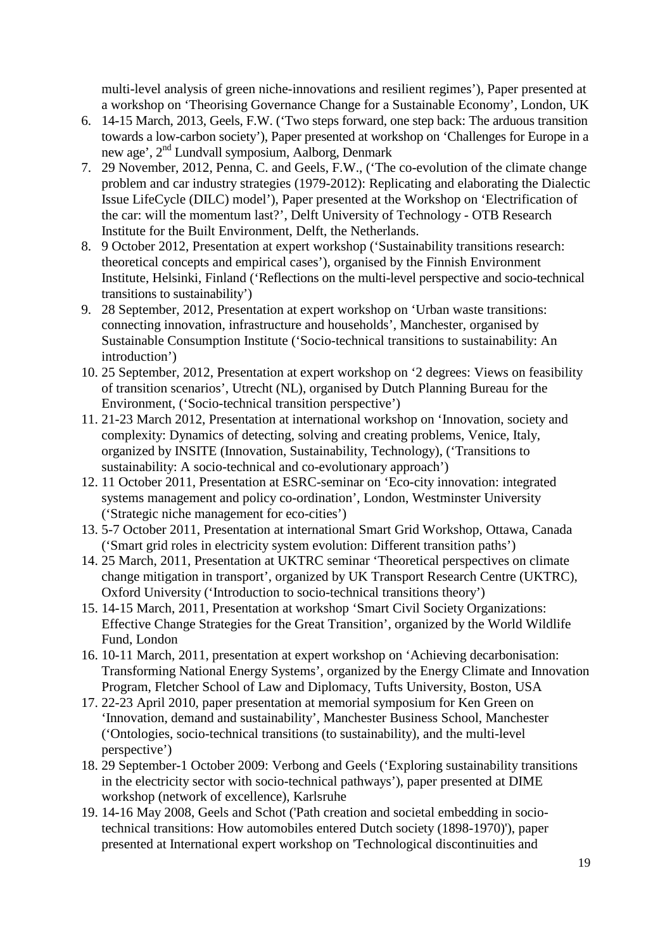multi-level analysis of green niche-innovations and resilient regimes'), Paper presented at a workshop on 'Theorising Governance Change for a Sustainable Economy', London, UK

- 6. 14-15 March, 2013, Geels, F.W. ('Two steps forward, one step back: The arduous transition towards a low-carbon society'), Paper presented at workshop on 'Challenges for Europe in a new age', 2<sup>nd</sup> Lundvall symposium, Aalborg, Denmark
- 7. 29 November, 2012, Penna, C. and Geels, F.W., ('The co-evolution of the climate change problem and car industry strategies (1979-2012): Replicating and elaborating the Dialectic Issue LifeCycle (DILC) model'), Paper presented at the Workshop on 'Electrification of the car: will the momentum last?', Delft University of Technology - OTB Research Institute for the Built Environment, Delft, the Netherlands.
- 8. 9 October 2012, Presentation at expert workshop ('Sustainability transitions research: theoretical concepts and empirical cases'), organised by the Finnish Environment Institute, Helsinki, Finland ('Reflections on the multi-level perspective and socio-technical transitions to sustainability')
- 9. 28 September, 2012, Presentation at expert workshop on 'Urban waste transitions: connecting innovation, infrastructure and households', Manchester, organised by Sustainable Consumption Institute ('Socio-technical transitions to sustainability: An introduction')
- 10. 25 September, 2012, Presentation at expert workshop on '2 degrees: Views on feasibility of transition scenarios', Utrecht (NL), organised by Dutch Planning Bureau for the Environment, ('Socio-technical transition perspective')
- 11. 21-23 March 2012, Presentation at international workshop on 'Innovation, society and complexity: Dynamics of detecting, solving and creating problems, Venice, Italy, organized by INSITE (Innovation, Sustainability, Technology), ('Transitions to sustainability: A socio-technical and co-evolutionary approach')
- 12. 11 October 2011, Presentation at ESRC-seminar on 'Eco-city innovation: integrated systems management and policy co-ordination', London, Westminster University ('Strategic niche management for eco-cities')
- 13. 5-7 October 2011, Presentation at international Smart Grid Workshop, Ottawa, Canada ('Smart grid roles in electricity system evolution: Different transition paths')
- 14. 25 March, 2011, Presentation at UKTRC seminar 'Theoretical perspectives on climate change mitigation in transport', organized by UK Transport Research Centre (UKTRC), Oxford University ('Introduction to socio-technical transitions theory')
- 15. 14-15 March, 2011, Presentation at workshop 'Smart Civil Society Organizations: Effective Change Strategies for the Great Transition', organized by the World Wildlife Fund, London
- 16. 10-11 March, 2011, presentation at expert workshop on 'Achieving decarbonisation: Transforming National Energy Systems', organized by the Energy Climate and Innovation Program, Fletcher School of Law and Diplomacy, Tufts University, Boston, USA
- 17. 22-23 April 2010, paper presentation at memorial symposium for Ken Green on 'Innovation, demand and sustainability', Manchester Business School, Manchester ('Ontologies, socio-technical transitions (to sustainability), and the multi-level perspective')
- 18. 29 September-1 October 2009: Verbong and Geels ('Exploring sustainability transitions in the electricity sector with socio-technical pathways'), paper presented at DIME workshop (network of excellence), Karlsruhe
- 19. 14-16 May 2008, Geels and Schot ('Path creation and societal embedding in sociotechnical transitions: How automobiles entered Dutch society (1898-1970)'), paper presented at International expert workshop on 'Technological discontinuities and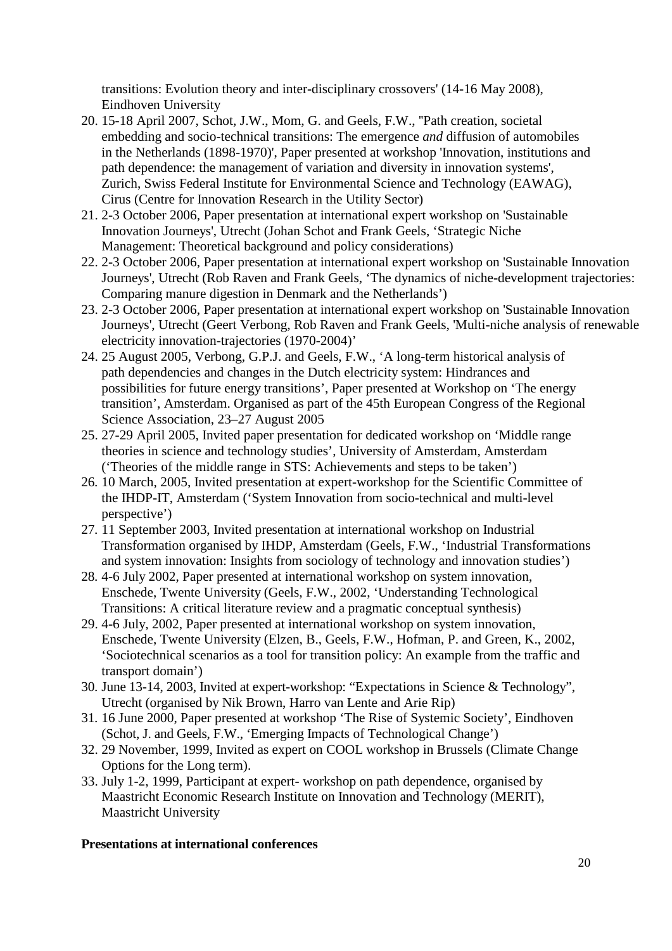transitions: Evolution theory and inter-disciplinary crossovers' (14-16 May 2008), Eindhoven University

- 20. 15-18 April 2007, Schot, J.W., Mom, G. and Geels, F.W., ''Path creation, societal embedding and socio-technical transitions: The emergence *and* diffusion of automobiles in the Netherlands (1898-1970)', Paper presented at workshop 'Innovation, institutions and path dependence: the management of variation and diversity in innovation systems', Zurich, Swiss Federal Institute for Environmental Science and Technology (EAWAG), Cirus (Centre for Innovation Research in the Utility Sector)
- 21. 2-3 October 2006, Paper presentation at international expert workshop on 'Sustainable Innovation Journeys', Utrecht (Johan Schot and Frank Geels, 'Strategic Niche Management: Theoretical background and policy considerations)
- 22. 2-3 October 2006, Paper presentation at international expert workshop on 'Sustainable Innovation Journeys', Utrecht (Rob Raven and Frank Geels, 'The dynamics of niche-development trajectories: Comparing manure digestion in Denmark and the Netherlands')
- 23. 2-3 October 2006, Paper presentation at international expert workshop on 'Sustainable Innovation Journeys', Utrecht (Geert Verbong, Rob Raven and Frank Geels, 'Multi-niche analysis of renewable electricity innovation-trajectories (1970-2004)'
- 24. 25 August 2005, Verbong, G.P.J. and Geels, F.W., 'A long-term historical analysis of path dependencies and changes in the Dutch electricity system: Hindrances and possibilities for future energy transitions', Paper presented at Workshop on 'The energy transition', Amsterdam. Organised as part of the 45th European Congress of the Regional Science Association, 23–27 August 2005
- 25. 27-29 April 2005, Invited paper presentation for dedicated workshop on 'Middle range theories in science and technology studies', University of Amsterdam, Amsterdam ('Theories of the middle range in STS: Achievements and steps to be taken')
- 26. 10 March, 2005, Invited presentation at expert-workshop for the Scientific Committee of the IHDP-IT, Amsterdam ('System Innovation from socio-technical and multi-level perspective')
- 27. 11 September 2003, Invited presentation at international workshop on Industrial Transformation organised by IHDP, Amsterdam (Geels, F.W., 'Industrial Transformations and system innovation: Insights from sociology of technology and innovation studies')
- 28. 4-6 July 2002, Paper presented at international workshop on system innovation, Enschede, Twente University (Geels, F.W., 2002, 'Understanding Technological Transitions: A critical literature review and a pragmatic conceptual synthesis)
- 29. 4-6 July, 2002, Paper presented at international workshop on system innovation, Enschede, Twente University (Elzen, B., Geels, F.W., Hofman, P. and Green, K., 2002, 'Sociotechnical scenarios as a tool for transition policy: An example from the traffic and transport domain')
- 30. June 13-14, 2003, Invited at expert-workshop: "Expectations in Science & Technology", Utrecht (organised by Nik Brown, Harro van Lente and Arie Rip)
- 31. 16 June 2000, Paper presented at workshop 'The Rise of Systemic Society', Eindhoven (Schot, J. and Geels, F.W., 'Emerging Impacts of Technological Change')
- 32. 29 November, 1999, Invited as expert on COOL workshop in Brussels (Climate Change Options for the Long term).
- 33. July 1-2, 1999, Participant at expert- workshop on path dependence, organised by Maastricht Economic Research Institute on Innovation and Technology (MERIT), Maastricht University

#### **Presentations at international conferences**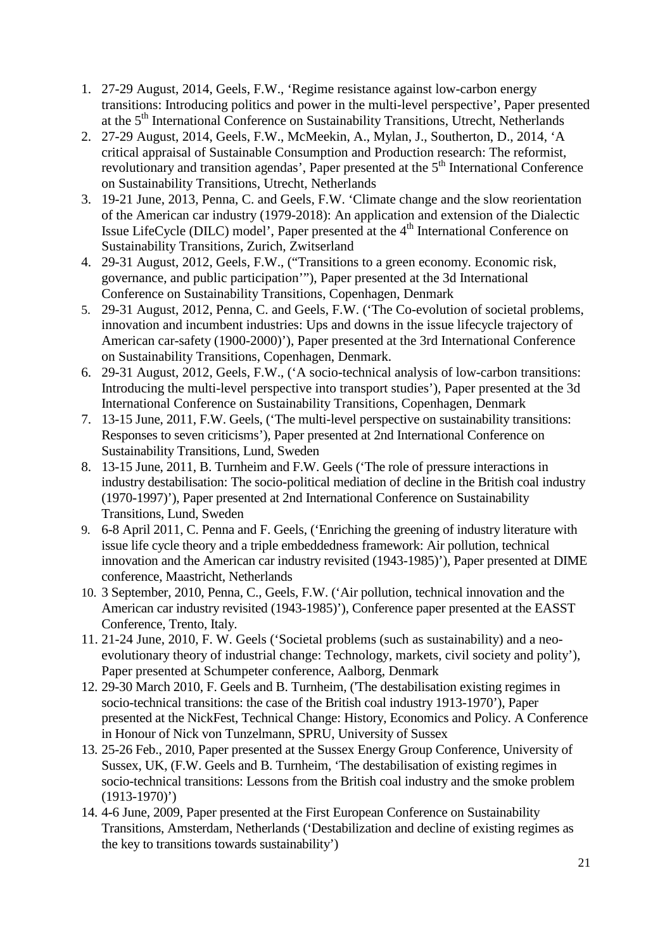- 1. 27-29 August, 2014, Geels, F.W., 'Regime resistance against low-carbon energy transitions: Introducing politics and power in the multi-level perspective', Paper presented at the 5th International Conference on Sustainability Transitions, Utrecht, Netherlands
- 2. 27-29 August, 2014, Geels, F.W., McMeekin, A., Mylan, J., Southerton, D., 2014, 'A critical appraisal of Sustainable Consumption and Production research: The reformist, revolutionary and transition agendas', Paper presented at the 5<sup>th</sup> International Conference on Sustainability Transitions, Utrecht, Netherlands
- 3. 19-21 June, 2013, Penna, C. and Geels, F.W. 'Climate change and the slow reorientation of the American car industry (1979-2018): An application and extension of the Dialectic Issue LifeCycle (DILC) model', Paper presented at the 4<sup>th</sup> International Conference on Sustainability Transitions, Zurich, Zwitserland
- 4. 29-31 August, 2012, Geels, F.W., ("Transitions to a green economy. Economic risk, governance, and public participation'"), Paper presented at the 3d International Conference on Sustainability Transitions, Copenhagen, Denmark
- 5. 29-31 August, 2012, Penna, C. and Geels, F.W. ('The Co-evolution of societal problems, innovation and incumbent industries: Ups and downs in the issue lifecycle trajectory of American car-safety (1900-2000)'), Paper presented at the 3rd International Conference on Sustainability Transitions, Copenhagen, Denmark.
- 6. 29-31 August, 2012, Geels, F.W., ('A socio-technical analysis of low-carbon transitions: Introducing the multi-level perspective into transport studies'), Paper presented at the 3d International Conference on Sustainability Transitions, Copenhagen, Denmark
- 7. 13-15 June, 2011, F.W. Geels, ('The multi-level perspective on sustainability transitions: Responses to seven criticisms'), Paper presented at 2nd International Conference on Sustainability Transitions, Lund, Sweden
- 8. 13-15 June, 2011, B. Turnheim and F.W. Geels ('The role of pressure interactions in industry destabilisation: The socio-political mediation of decline in the British coal industry (1970-1997)'), Paper presented at 2nd International Conference on Sustainability Transitions, Lund, Sweden
- 9. 6-8 April 2011, C. Penna and F. Geels, ('Enriching the greening of industry literature with issue life cycle theory and a triple embeddedness framework: Air pollution, technical innovation and the American car industry revisited (1943-1985)'), Paper presented at DIME conference, Maastricht, Netherlands
- 10. 3 September, 2010, Penna, C., Geels, F.W. ('Air pollution, technical innovation and the American car industry revisited (1943-1985)'), Conference paper presented at the EASST Conference, Trento, Italy.
- 11. 21-24 June, 2010, F. W. Geels ('Societal problems (such as sustainability) and a neoevolutionary theory of industrial change: Technology, markets, civil society and polity'), Paper presented at Schumpeter conference, Aalborg, Denmark
- 12. 29-30 March 2010, F. Geels and B. Turnheim, ('The destabilisation existing regimes in socio-technical transitions: the case of the British coal industry 1913-1970'), Paper presented at the NickFest, Technical Change: History, Economics and Policy. A Conference in Honour of Nick von Tunzelmann, SPRU, University of Sussex
- 13. 25-26 Feb., 2010, Paper presented at the Sussex Energy Group Conference, University of Sussex, UK, (F.W. Geels and B. Turnheim, 'The destabilisation of existing regimes in socio-technical transitions: Lessons from the British coal industry and the smoke problem (1913-1970)')
- 14. 4-6 June, 2009, Paper presented at the First European Conference on Sustainability Transitions, Amsterdam, Netherlands ('Destabilization and decline of existing regimes as the key to transitions towards sustainability')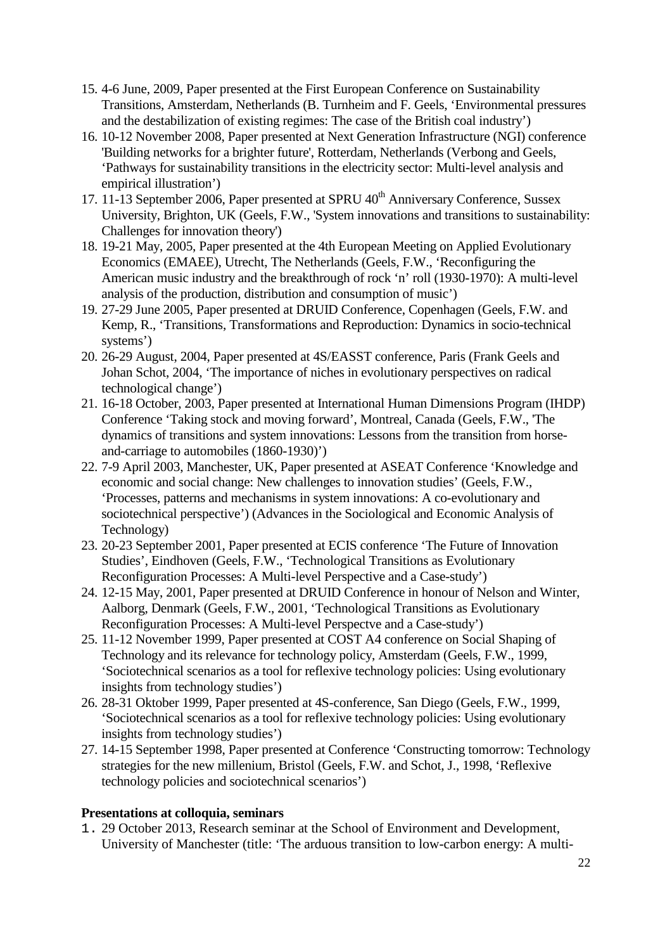- 15. 4-6 June, 2009, Paper presented at the First European Conference on Sustainability Transitions, Amsterdam, Netherlands (B. Turnheim and F. Geels, 'Environmental pressures and the destabilization of existing regimes: The case of the British coal industry')
- 16. 10-12 November 2008, Paper presented at Next Generation Infrastructure (NGI) conference 'Building networks for a brighter future', Rotterdam, Netherlands (Verbong and Geels, 'Pathways for sustainability transitions in the electricity sector: Multi-level analysis and empirical illustration')
- 17. 11-13 September 2006, Paper presented at SPRU  $40<sup>th</sup>$  Anniversary Conference, Sussex University, Brighton, UK (Geels, F.W., 'System innovations and transitions to sustainability: Challenges for innovation theory')
- 18. 19-21 May, 2005, Paper presented at the 4th European Meeting on Applied Evolutionary Economics (EMAEE), Utrecht, The Netherlands (Geels, F.W., 'Reconfiguring the American music industry and the breakthrough of rock 'n' roll (1930-1970): A multi-level analysis of the production, distribution and consumption of music')
- 19. 27-29 June 2005, Paper presented at DRUID Conference, Copenhagen (Geels, F.W. and Kemp, R., 'Transitions, Transformations and Reproduction: Dynamics in socio-technical systems')
- 20. 26-29 August, 2004, Paper presented at 4S/EASST conference, Paris (Frank Geels and Johan Schot, 2004, 'The importance of niches in evolutionary perspectives on radical technological change')
- 21. 16-18 October, 2003, Paper presented at International Human Dimensions Program (IHDP) Conference 'Taking stock and moving forward', Montreal, Canada (Geels, F.W., 'The dynamics of transitions and system innovations: Lessons from the transition from horseand-carriage to automobiles (1860-1930)')
- 22. 7-9 April 2003, Manchester, UK, Paper presented at ASEAT Conference 'Knowledge and economic and social change: New challenges to innovation studies' (Geels, F.W., 'Processes, patterns and mechanisms in system innovations: A co-evolutionary and sociotechnical perspective') (Advances in the Sociological and Economic Analysis of Technology)
- 23. 20-23 September 2001, Paper presented at ECIS conference 'The Future of Innovation Studies', Eindhoven (Geels, F.W., 'Technological Transitions as Evolutionary Reconfiguration Processes: A Multi-level Perspective and a Case-study')
- 24. 12-15 May, 2001, Paper presented at DRUID Conference in honour of Nelson and Winter, Aalborg, Denmark (Geels, F.W., 2001, 'Technological Transitions as Evolutionary Reconfiguration Processes: A Multi-level Perspectve and a Case-study')
- 25. 11-12 November 1999, Paper presented at COST A4 conference on Social Shaping of Technology and its relevance for technology policy, Amsterdam (Geels, F.W., 1999, 'Sociotechnical scenarios as a tool for reflexive technology policies: Using evolutionary insights from technology studies')
- 26. 28-31 Oktober 1999, Paper presented at 4S-conference, San Diego (Geels, F.W., 1999, 'Sociotechnical scenarios as a tool for reflexive technology policies: Using evolutionary insights from technology studies')
- 27. 14-15 September 1998, Paper presented at Conference 'Constructing tomorrow: Technology strategies for the new millenium, Bristol (Geels, F.W. and Schot, J., 1998, 'Reflexive technology policies and sociotechnical scenarios')

#### **Presentations at colloquia, seminars**

1. 29 October 2013, Research seminar at the School of Environment and Development, University of Manchester (title: 'The arduous transition to low-carbon energy: A multi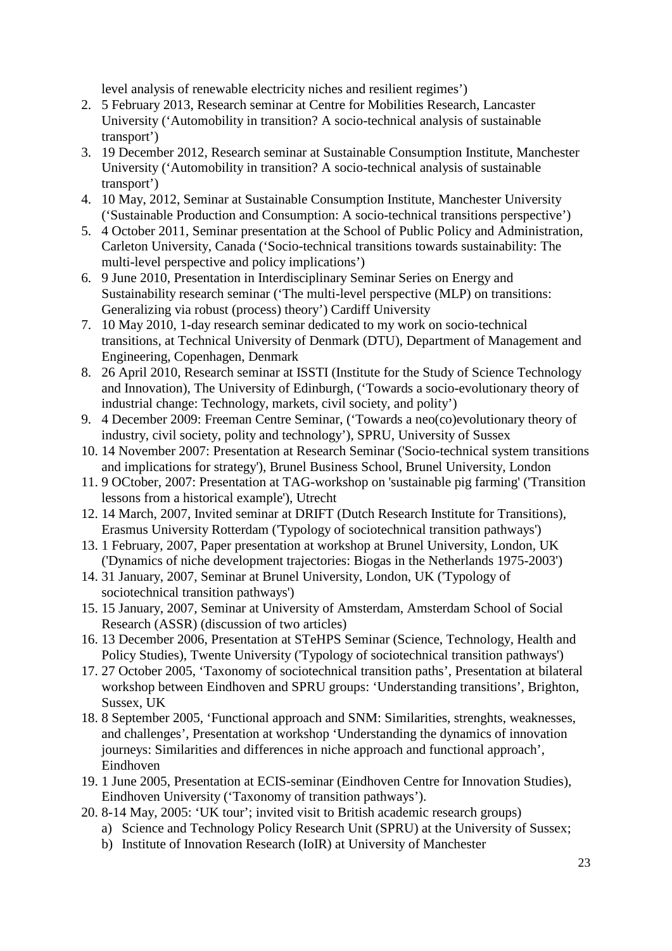level analysis of renewable electricity niches and resilient regimes')

- 2. 5 February 2013, Research seminar at Centre for Mobilities Research, Lancaster University ('Automobility in transition? A socio-technical analysis of sustainable transport')
- 3. 19 December 2012, Research seminar at Sustainable Consumption Institute, Manchester University ('Automobility in transition? A socio-technical analysis of sustainable transport')
- 4. 10 May, 2012, Seminar at Sustainable Consumption Institute, Manchester University ('Sustainable Production and Consumption: A socio-technical transitions perspective')
- 5. 4 October 2011, Seminar presentation at the School of Public Policy and Administration, Carleton University, Canada ('Socio-technical transitions towards sustainability: The multi-level perspective and policy implications')
- 6. 9 June 2010, Presentation in Interdisciplinary Seminar Series on Energy and Sustainability research seminar ('The multi-level perspective (MLP) on transitions: Generalizing via robust (process) theory') Cardiff University
- 7. 10 May 2010, 1-day research seminar dedicated to my work on socio-technical transitions, at Technical University of Denmark (DTU), Department of Management and Engineering, Copenhagen, Denmark
- 8. 26 April 2010, Research seminar at ISSTI (Institute for the Study of Science Technology and Innovation), The University of Edinburgh, ('Towards a socio-evolutionary theory of industrial change: Technology, markets, civil society, and polity')
- 9. 4 December 2009: Freeman Centre Seminar, ('Towards a neo(co)evolutionary theory of industry, civil society, polity and technology'), SPRU, University of Sussex
- 10. 14 November 2007: Presentation at Research Seminar ('Socio-technical system transitions and implications for strategy'), Brunel Business School, Brunel University, London
- 11. 9 OCtober, 2007: Presentation at TAG-workshop on 'sustainable pig farming' ('Transition lessons from a historical example'), Utrecht
- 12. 14 March, 2007, Invited seminar at DRIFT (Dutch Research Institute for Transitions), Erasmus University Rotterdam ('Typology of sociotechnical transition pathways')
- 13. 1 February, 2007, Paper presentation at workshop at Brunel University, London, UK ('Dynamics of niche development trajectories: Biogas in the Netherlands 1975-2003')
- 14. 31 January, 2007, Seminar at Brunel University, London, UK ('Typology of sociotechnical transition pathways')
- 15. 15 January, 2007, Seminar at University of Amsterdam, Amsterdam School of Social Research (ASSR) (discussion of two articles)
- 16. 13 December 2006, Presentation at STeHPS Seminar (Science, Technology, Health and Policy Studies), Twente University ('Typology of sociotechnical transition pathways')
- 17. 27 October 2005, 'Taxonomy of sociotechnical transition paths', Presentation at bilateral workshop between Eindhoven and SPRU groups: 'Understanding transitions', Brighton, Sussex, UK
- 18. 8 September 2005, 'Functional approach and SNM: Similarities, strenghts, weaknesses, and challenges', Presentation at workshop 'Understanding the dynamics of innovation journeys: Similarities and differences in niche approach and functional approach', Eindhoven
- 19. 1 June 2005, Presentation at ECIS-seminar (Eindhoven Centre for Innovation Studies), Eindhoven University ('Taxonomy of transition pathways').
- 20. 8-14 May, 2005: 'UK tour'; invited visit to British academic research groups) a) Science and Technology Policy Research Unit (SPRU) at the University of Sussex;
	- b) Institute of Innovation Research (IoIR) at University of Manchester